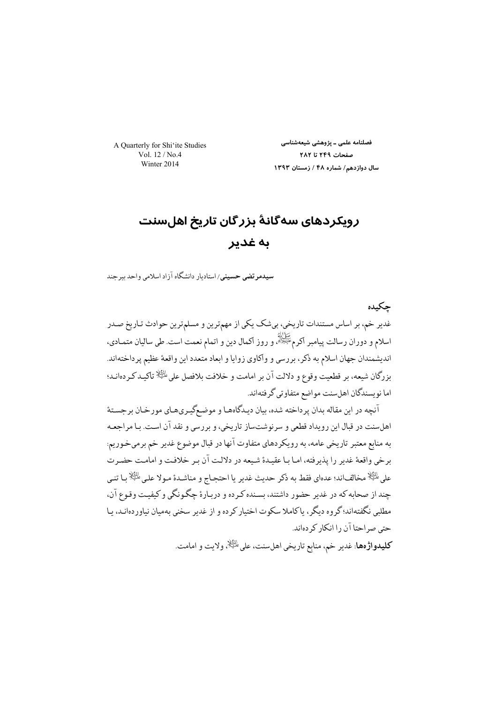A Quarterly for Shi'ite Studies Vol.  $12/N_0$ 4 Winter 2014

فصلنامه علمی ـ یژوهشی شیعهشناسی صفحات ٢٤٤٩ تا ٢٨٢ سال دوازدهم/ شماره ۴۸ / زمستان ۱۳۹۳

# رویکردهای سهگانهٔ بزرگان تاریخ اهلسنت ىە غدىر

*سیدم*ر تضی حسینی/استادبار دانشگاه آزاد اسلامی واحد بیر حند

حكىدە غدیر خم، بر اساس مستندات تاریخی، بیشک یکی از مهمترین و مسلمترین حوادث تـاریخ صـدر اسلام و دوران رسالت پیامبر اکرمﷺ، و روز اکمال دین و اتمام نعمت است. طی سالیان متمـادی، اندیشمندان جهان اسلام به ذکر، بررسی و واکاوی زوایا و ابعاد متعدد این واقعهٔ عظیم پرداختهاند. بزرگان شيعه، بر قطعيت وقوع و دلالت آن بر امامت و خلافت بلافصل على $\mathbb{R}^4$  تاكيـد كـردهانـد؛ اما نويسندگان اهلسنت مواضع متفاوتي گرفتهاند.

آنچه در این مقاله بدان پرداخته شده، بیان دیـدگاههـا و موضـعگیـريهـاي مورخـان برجسـتهٔ اهلسنت در قبال این رویداد قطعی و سرنوشتساز تاریخی، و بررسی و نقد آن است. بـا مراجعـه به منابع معتبر تاریخی عامه، به رویکردهای متفاوت آنها در قبال موضوع غدیر خم برمیخوریم: برخي واقعهٔ غدير را يذيرفته، امـا بـا عقيـدهٔ شـيعه در دلالـت آن بـر خلافـت و امامـت حضـر ت على الرَّالِا مخالفاند؛ عدهاي فقط به ذكر حديث غدير يا احتجاج و مناشـدة مـولا علـى الرَّالِا بـا تنـي حند از صحابه که در غدیر حضور داشتند، بسنده ک ده و در بارهٔ حگونگی و کیفیت وقوع آن، مطلبي نگفتهاند؛گروه ديگر، پاكاملا سكوت اختيار كرده و از غدير سخني بهميان نياوردهانـد، پـا حتی صراحتا آن را انکار کر دہاند. **كليدواژهها**: غدير خم، منابع تاريخي اهلسنت، على <sup>إلتِيلا</sup>ة ولايت و امامت.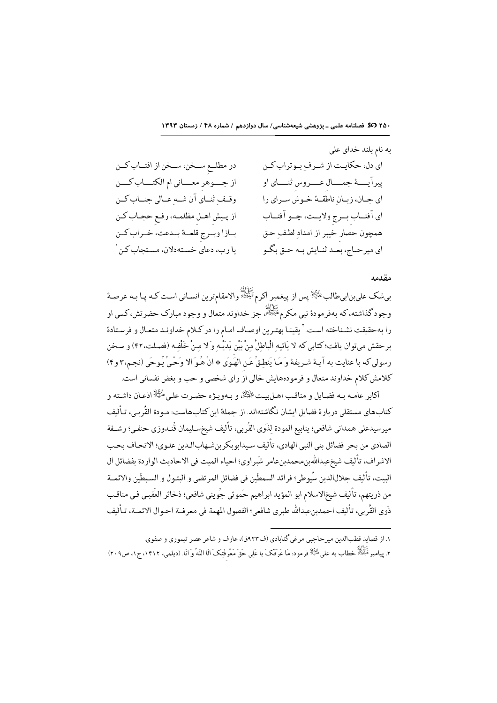به نام بلند خداي على در مطلــع ســخن، ســخن از افتــاب كــن اي دل، حكايت از شرف بوتراب كـن از جسوهر معساني ام الكتــاب كـــن پيراًيـــهٔ جمـــال عـــروس ثنـــاي او وقيف ثنياي آن شيه عيالي جنباب كين اي جــان، زبــان ناطقــهٔ خـوش ســراي را از پـیش اهـل مظلمـه، رفـع حجـاب کـن اي آفتــاب بــرج ولايــت، چــو آفتــاب بازا وبمرج قلعمة بمدعت، خـراب كـن همچون حصار خيبر از امداد لطف حق یا رب، دعای خستهدلان، مستحاب کن ۱ اي ميرحــاج، بعــد ثنــايش بــه حــق بگــو

#### وقدمه

بىشك علىبنابىطالب<sup>ِ لِل</sup>َيْلَا يس از پيغمبر اكرم<sup>ِ تَكَ</sup>اتُهُ والامقامترين انسـاني اسـت كـه پـا بـه عرصـة وجود گذاشته، که بهفرمودهٔ نبي مکرمﷺ، جز خداوند متعال و وجود مبارک حضرتش، کسي او را بهحقيقت نشـناخته اسـت.' يقينـا بهتـرين اوصـاف امـام را در كـلام خداونـد متعـال و فرسـتادة برحقش ميتوان يافت؛ كتابي كه لا يَاتيهِ الْباطِلُ مِنْ بَيْنِ يَدَيْـهِ وَ لا مِـنْ خَلْفِـه (فصـلت،۴۲) و سـخن رسولي كه با عنايت به آيـهٔ شـريفهٔ وَ مَـا يَنطـقُ عَـن الهَـوَى ۞ انْ هُـوَ الا وَحْـيْ يُـوحَى (نجـم،٣ و۴) كلامش كلام خداوند متعال و فرمودههايش خالي از راي شخصي و حب و بغض نفساني است.

اكابر عامـه بـه فضـايل و مناقـب اهـلييـت الجَكْلَهُ و بـهويــزه حضـرت علـى الخِّلْا اذعـان داشـته و كتابهاي مستقلي دربارة فضايل ايشان نگاشتهاند. از جملة اين كتابهاست: مـودة القُربي، تـأليف ميرسيدعلى همداني شافعي؛ ينابيع المودة لِذَوى القُربي، تأليف شيخسـليمان قُنـدوزي حنفـي؛ رشــفة الصادي من بحر فضائل بني النبي الهادي، تأليف سيدابوبكر بن شـهابالـدين علـوي؛ الاتحـاف بحـب الاشراف، تأليف شيخعبداللهين،محمدينعامر شَبراوي؛ احياء الميت في الاحاديث الواردة بفضائل ال البيت، تأليف جلالالدين سُيوطي؛ فرائد السمطَين في فضائل المرتضى و البتـول و السـبطَين والائمــة من ذريتهم، تأليف شيخالاسلام ابو المؤيد ابراهيم حَموئي جُويني شافعي؛ ذخائر العُقبـي فـي مناقـب ذَوى القُر بي، تأليف احمدبنعبدالله طبري شافعي؛ الفصول المهمة في معرفــة احـوال الائمــة، تـأليف

۱. از قصاید قطبالدین میر حاجبی مرغی گنابادی (ف۹۲۳ق)، عارف و شاعر عصر تبموری و صفوی.

٢. بيامبر ﷺ خطاب به على ﷺ فو مود: مَا عَرِ فَكَ ما عَلَى حَقٍّ مَعْرٍ فَتكَ أَلَا اللَّهُ وَ أَنَا. (ديلهي، ١٤١٢، ج ١، ص ٢٠٩)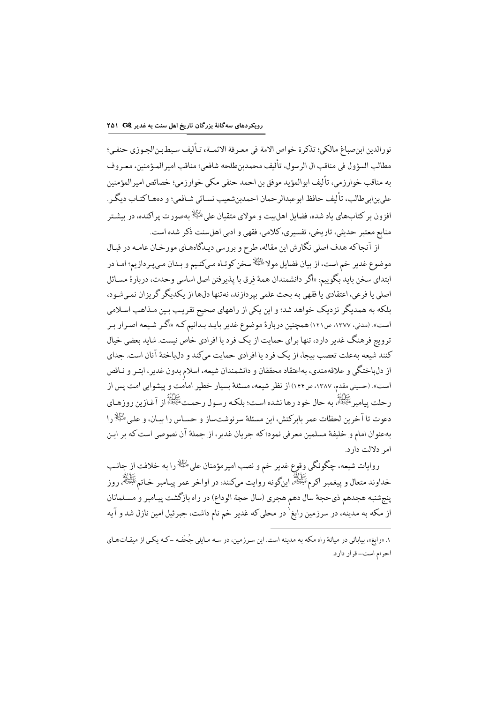نورالدين ابنصباغ مالكي؛ تذكرة خواص الامة في معـرفة الائمــة، تـأليف سـبطـبـنالجـوزي حنفـي؛ مطالب السؤول في مناقب ال الرسول، تأليف محمدبنطلحه شافعي؛ مناقب امير المؤمنين، معـروف به مناقب خوارزمي، تأليف ابوالمؤيد موفق بن احمد حنفي مكي خوارزمي؛ خصائص اميرالمؤمنين على بن ابي طالب، تأليف حافظ ابو عبدالر حمان احمدبن شعيب نسـائي شـافعي؛ و دههـاكتـاب ديگـر . افزون بر کتابهای باد شده، فضایل اهل ست و مولای متقبان علی <sup>بانگ</sup>از به صورت پر اکنده، در پیشتر منابع معتبر حديثي، تاريخي، تفسيري، كلامي، فقهي و ادبي اهلسنت ذكر شده است.

از آنجاكه هدف اصلي نگارش اين مقاله، طرح و بررسي ديـدگاههـاي مورخـان عامـه در قبـال موضوع غدير خم است، از بيان فضايل مولاطليه لسخن كوتـاه مـىكنـيم و بـدان مـىپـردازيم؛ امـا در ابتداي سخن بايد بگوييم: «أكر دانشمندان همهٔ فرق با يذير فتن اصل اساسي وحدت، دربارهٔ مسـائل اصلی یا فرعی، اعتقادی یا فقهی به بحث علمی بپردازند، نهتنها دلها از یکدیگر گریزان نمیشود، .<br>بلکه به همدیگر نزدیک خواهد شد؛ و این یکی از راههای صحیح تقریب بین مـذاهب اسـلامی است». (مدنی، ۱۳۷۷، ص۱۲۱) همچنین دربارهٔ موضوع غدیر بایـد بـدانیم کـه «اگـر شـیعه اصـرار بـر ترویج فرهنگ غدیر دارد، تنها برای حمایت از یک فرد یا افرادی خاص نیست. شاید بعضی خیال کنند شیعه بهعلت تعصب بیجا، از یک فرد یا افرادی حمایت میکند و دل باختهٔ آنان است. جدای از دلباختگي و علاقهمندي، بهاعتقاد محققان و دانشمندان شيعه، اسلام بدون غدير، ابتـر و نـاقص است». (حسینی مقدم، ۱۳۸۷، ص۱۴۴) از نظر شیعه، مسئلهٔ بسیار خطیر امامَت و پیشوایی امت پس از رحلت پيامبر عَمَّالِهُ به حال خود رها نشده است؛ بلکـه رسـول رحمـتﷺ از آغـازين روزهـاي دعوت تا آخرین لحظات عمر پایرکتش، این مسئلهٔ سرنوشت ساز و حسباس را بیبان، و علی <sup>طلط</sup>ح را بهعنوان امام و خلیفهٔ مسلمین معرفی نمود؛ که جریان غدیر، از جملهٔ آن نصوصی است که بر این امر دلالت دارد.

روايات شيعه، چگونگي وقوع غدير خم و نصب اميرمؤمنان على ﷺ را به خلافت از جانب خداوند متعال و پيغمبر اکرمﷺ اينگونه روايت مىکنند: در اواخر عمر پيـامبر خـاتمﷺ، روز ينجشنبه هجدهم ذيحجة سال دهم هجري (سال حجة الوداع) در راه بازگشت ييـامبر و مسـلمانان از مکه به مدینه، در سرزمین رابغ<sup>٬</sup> در محلی که غدیر خم نام داشت، جبرئیل امین نازل شد و آیه

۰. «رابغ»، بیابانی در میانهٔ راه مکه به مدینه است. این سـرزمین، در سـه مـایلی جُحْفـه -کـه یکـی از میقـاتـهـای احرام است- قرار دارد.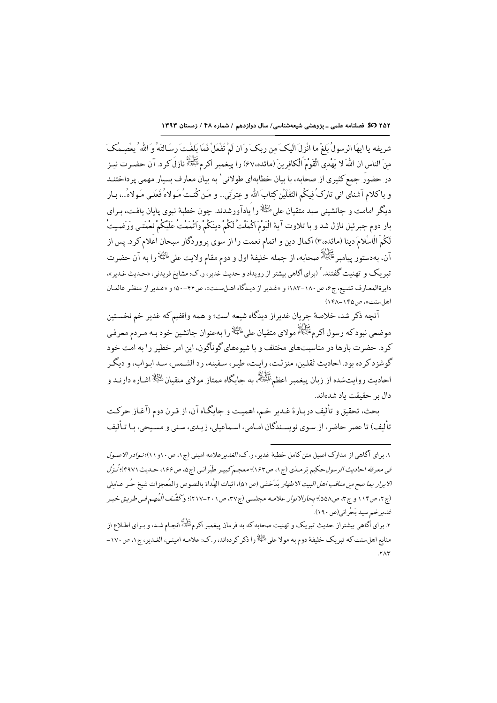٢٥٢ (50 فصلنامه علمی ـ پژوهشی شیعهشناسی/ سال دوازدهم / شماره ۴۸ / زمستان ١٣٩٣

شريفه يا ايهَا الرسولُ بَلغْ ما انْزِلَ الَيكَ من ربكَ وَ ان لَمْ تَفْعَلْ فَمَا بَلغْتَ رسَالتَهُ وَ الله ُ يعصمكَ مِنَ الناس ان اللهَ لا يَهْدِي الْقَوْمَ الْكافِرِينَ (مائده،٤٧) را پيغمبر اكرمﷺ نازلَ كرد. آن حضرت نيـز در حضورَ جمع کثیری از صحابه، با بیان خطابهای طولانی ٰ به بیان معارف بسیار مهمی پرداختنـد و باكلام آشناي اني تاركُ فِيكُم الثقَلَيْنِ كِتابَ الله و عِترتي... و مَن كُنتُ مَـولاهُ فَعَلـى مَـولاهُ...، بـار دیگر امامت و جانشینی سید متقیان علیﷺ را یادآورشدند. چون خطبهٔ نبوی پایان یافت، بـرای بار دوم جبرئيل نازل شد و با تلاوت آية الْيَوْمَ اكْمَلْتْ لَكُمْ دينَكُمْ واتْمَمْتْ عَلَيْكُمْ نعْمَتـى وَرَضـيتُ لَكُمُ الْاسْلامَ دينا (مائده،٣) اكمال دين و اتمام نعمت را از سوى پروردگار سبحان اعَلام كرد. پس از آن، بهدستور پيامبر ﷺ صحابه، از جمله خليفة اول و دوم مقام ولايت على ﷺ(را به آن حضرت .<br>تیر یک و تهنیت گفتند. <sup>۲</sup> (برای آگاهی بیشتر از رویداد و حدیث غدیر، ر.ک: مشایخ فریدنی، «حـدیث غـدیر»، دابر ةالمعـارف تشـيع، ج ۶، ص ١٨٠-١٨٣؛ و «غـدير از ديـدگاه اهـلسـنت»، ص۴۴-۵۰؛ و «غـدير از منظـر عالمـان اهلسنت»، ص١۴۵-١۴٨)

آنچه ذكر شد، خلاصة جريان غديراز ديدگاه شيعه است؛ و همه واقفيم كه غدير خم نخستين موضعي نبودكه رسول اكرم<sup>عَلِيْوْل</sup>ا مولاي متقيان على <sup>الثِيلا</sup>را بهعنوان جانشين خود بـه مـردم معرفـي کرد. حضرت بارها در مناسبتهای مختلف و با شیوههای گوناگون، این امر خطیر را به امت خود گوشز د کر ده بود. احادیث ثقلین، منزلت، رایت، طیر، سفینه، رد الشیمس، سد ایواب، و دیگر احادیث روایت شده از زبان پیغمبر اعظم ﷺ به حایگاه ممتاز مولای متقبان ﷺ اشاره دارنید و دال بر حقیقت یاد شدهاند.

بحث، تحقيق و تأليف دربـارة غـدير خـم، اهميـت و جايگـاه آن، از قـرن دوم (آغـاز حركـت تأليف) تا عصر حاضر، از سـوى نويسـندگان امـامى، اسـماعيلى، زيـدى، سـنى و مسـيحى، بـا تـأليف

١. براي آگاهي از مدارک اصيل متن کامل خطبهٔ غدير ، ر.ک: *الغدير ع*لامه اميني (ج١، ص١٠و١١)؛ *نـوادر الاصول* في معرفة احاديث الرسول حكيم ترمـذي (ج١، ص١٤٣)؛ معجـم كبيـر طَبَرانـي (ج٥، ص١٤۶، حـديث١٩٩٧)؛ نُـزُل الابرار بم*ا صح من مناقب اهل البيت الاطهار* بَدَخشي (ص٥١)، اثبات الهُداة بالنصوص والمُعجزات شيخ حُر عـاملي (ج ۲، ص ۱۱۴ و ج ۳، ص۵۵۸)؛ بحارالانوار علامـه مجلسـي (ج۳۷، ص۲۰۱–۲۱۷)؛ وڭَشْف الْمُهِم فـي طريبق خبـر غدير خير سيد بَحْر اني(ص ١٩٠).

۲. برای اگاهی بیشتراز حدیث تبریک و تهنیت صحابه که به فرمان پیغمبر اکرمﷺ نجال شد، و بـرای اطـلاع از منابع اهلسنت که تبریک خلیفهٔ دوم به مولا علی <sup>الث</sup>یلا را ذکر کردهاند، ر.ک: علامـه امینـی، الغـدیر، ج١، ص١٧٠- $.57<sub>0</sub>$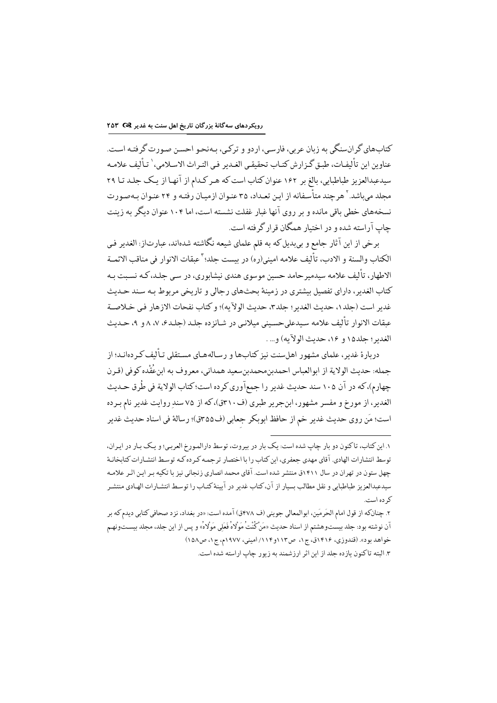کتابهای گرانسنگی به زبان عربی، فارسی، اردو و ترکی، بـهنحـو احسـن صـورت گرفتـه اسـت. عناوين اين تأليفـات، طبـق گـزارش كتـاب تحقيقـي الغـدير فـي التـراث الاسـلامي،` تـأليف علامـه سیدعبدالعزیز طباطبایی، بالغ بر ۱۶۲ عنوان کتاب است که هـر کـدام از آنهـا از یـک جلـد تـا ۲۹ محلد می باشد. <sup>۲</sup>هر چند متأسفانه از این تعداد، ۳۵ عنوان از میان رفتـه و ۲۴ عنـوان بـهصور ت نسخههای خطی باقی مانده و بر روی آنها غبار غفلت نشسته است، اما ۱۰۴ عنوان دیگر به زینت جاب آراسته شده و در اختیار همگان قرار گرفته است.

برخي از اين آثار جامع و بيبديل كه به قلم علماي شيعه نگاشته شدهاند، عبارتاز: الغدير في الكتاب والسنة و الادب، تأليف علامه اميني(ره) در يست جلد؛ ` عيقات الانوار في مناقب الائمــة الاطهار، تألیف علامه سیدمیر حامد حسین موسوی هندی نیشابوری، در سی جلـد، کـه نسـبت بـه کتاب الغدیر ، دارای تفصیل بیشتری در زمینهٔ بحثهای رجالی و تاریخی مربوط بـه سـند حـدیث غدير است (حلد١، حديث الغدير ؛ حلد٣، حديث الولاَّيه)؛ و كتاب نفحات الازهار في خـلاصـة عبقات الانوار تأليف علامه سيدعلىحسيني ميلاني در شـانز ده جلـد (جلـدع، ٧، ٨ و ٩، حـديث الغدير ؛ حلد١٥ و ١٤، حديث الولآيه) و... .

دربارهٔ غدیر، علمای مشهور اهلسنت نیز کتابها و رسالههـای مسـتقلی تـألیف کـر دهانـد؛ از جمله: حديث الولاية از ابوالعباس احمدبنِ محمدبنِ سعيد همداني، معروف به ابنِ عُقْده كوفي (قـرن چهارم)، كه در آن ۱۰۵ سند حديث غدير را جمعآوري كرده است؛ كتاب الولاية في طُرق حـديث الغدیر، از مورخ و مفسر مشهور، ابنجریر طبری (ف ٣١٠ق)، که از ٧۵ سند روایت غدیر نام بـرده است؛ مَن روى حديث غدير خم از حافظ ابوبكر جعابي (ف80%ق)؛ رسالة في اسناد حديث غدير

١. اين كتاب، تاكنون دو بار چاپ شده است: يك بار در بيروت، توسط دارالمورخ العربي؛ و يك بـار در ايـران، توسط انتشارات الهادي. آقاي مهدي جعفري، اين كتاب را با اختصار ترجمـه كـرده كـه توسط انتشـارات كتابخانـهٔ چهل ستون در تهران در سال ۱۴۱۱ق منتشر شده است. آقای محمد انصاری زنجانی نیز با تکیه بـر ایـن اثـر علامـه سيدعبدالعزيز طباطبايي و نقل مطالب بسيار از آن،كتاب غدير در آيينهٔ كتـاب را توسـط انتشـارات الهـادي منتشـر که ده است.

۲. چنانکه از قول امام الحَرمَين، ابوالمعالي جويني (ف ۴۷۸ق) آمده است: «در بغداد، نزد صحافي کتابي ديدم که بر آن نوشته بود: جلد بيستوهشتم از اسناد حديث «مَنْ كُنْتْ مَوْلاهُ فَعَلى مَوْلاهُ» و يس از اين جلد، مجلد بيسـتونهـم خواهد بود». (قندوزي، ۱۴۱۶ق، ج۱، ص۱۱۳و۱۱۲/اميني، ۱۹۷۷م، ج۱، ص۱۵۸) ۳. البته تاکنون باز ده حلد از این اثر ارزشمند به زیور حاب اراسته شده است.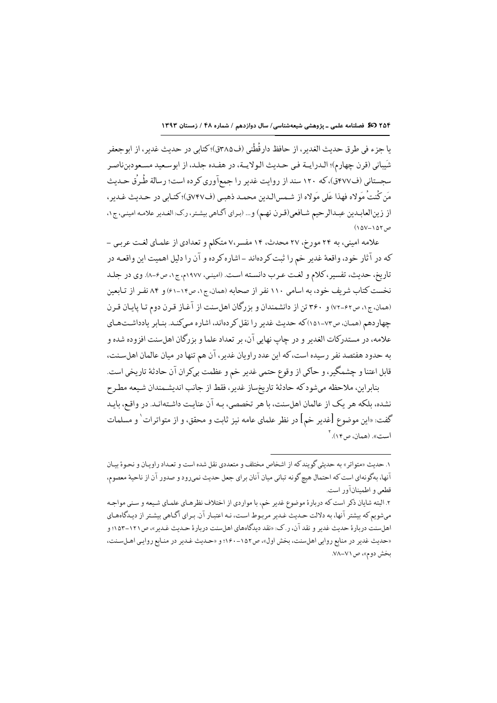يا جزء في طرق حديث الغدير ، از حافظ دارقُطْني (ف٣٨٥ق)؛ كتابي در حديث غدير ، از ابوجعفر شَيباني (قرن چهارم)؛ الدرايــة فـي حـديث الـولايــة، در هفـده جلـد، از ابوسـعيد مسـعودبنِناصـر سجستانی (ف۷۷۷ق)، که ۱۲۰ سند از روایت غدیر را جمعآوری کرده است؛ رسالة طُرِق حـدیث مَن كُنتُ مَولاه فهذا عَلى مَولاه از شـمسالـدين محمـد ذهبـي (ف٧٤٧ق)؛ كتـابي در حـديث غـدير، از زينالعابدين عبدالرحيم شـافعي(قـرن نهـم) و ... (براي أكـاهي بيشـتر، رك: الغـدير علامـه امينـي، ج١،  $(10V-10Y, 0)$ 

علامه امینی، به ۲۴ مورخ، ۲۷ محدث، ۱۴ مفسر،۷ متکلم و تعدادی از علمای لغت عربی -كه در آثار خود، واقعهٔ غدیر خم را ثبت كردهاند ـ اشاره كرده و آن را دلیل اهمیت این واقعـه در تاريخ، حديث، تفسير، كلام و لغت عـرب دانسـته اسـت. (اميني، ١٩٧٧م، ج١، ص٤-٨). وي در جلـد نخست كتاب شريف خود، به اسامي ١١٠ نفر از صحابه (همان، ج١، ص١٤-٤١) و ٨٤ نفـر از تـابعين (همان، ج۱، ص۶۲-۷۲) و ۳۶۰ تن از دانشمندان و بزرگان اهلسنت از آغاز قرن دوم تـا پايـان قـرن چهاردهم (همان، ص٧٣-١٥١) كه حديث غدير را نقل كردهاند، اشاره مى كند. بنابر يادداشتهاى علامه، در مستدركات الغدير و در چاپ نهايي آن، بر تعداد علما و بزرگان اهلسنت افزوده شده و به حدود هفتصد نفر رسیده است، که این عدد راویان غدیر، آن هم تنها در میان عالمان اهلسنت، قابل اعتنا و چشمگیر، و حاکي از وقوع حتمي غدير خم و عظمت بيكران آن حادثهٔ تاريخي است.

بنابراين، ملاحظه مي و كه حادثة تاريخساز غدير، فقط از جانب انديشمندان شيعه مطرح نشده، بلكه هر يك از عالمان اهلسنت، با هر تخصصي، بـه آن عنايـت داشـتهانـد. در واقـع، بايـد گفت: «این موضوع [غدیر خم] در نظر علمای عامه نیز ثابت و محقق، و از متواترات` و مسلمات است». (همان، ص۱۴). <sup>۲</sup>

۱. حديث «متواتر» به حديثي گويند كه از اشخاص مختلف و متعددي نقل شده است و تعـداد راويـان و نحـوۀ بيـان آنها، بهگونهاي است كه احتمال هيچ گونه تباني ميان آنان براي جعل حديث نميرود و صدور آن از ناحيهٔ معصوم، قطعي و اطمىنانآور است.

۲. البته شایان ذکر است که دربارهٔ موضوع غدیر خم، با مواردي از اختلاف نظرهـاي علمـاي شـيعه و سـني مواجـه میشویم که بیشتر آنها، به دلالت حدیث غدیر مربوط است، نـه اعتبـار آن. بـرای آگـاهی بیشـتر از دیـدگاههـای اهلسنت دربارهٔ حدیث غدیر و نقد آن، ر.ک: «نقد دیدگاههای اهلسنت دربارهٔ حـدیث غـدیر»، ص١٢١-١٥٣؛ و «حدیث غدیر در منابع روایی اهلسنت، بخش اول»، ص١٥٢-١٤٠٠؛ و «حـدیث غـدیر در منـابع روایـی اهـلسـنت، بخش دوم»، ص ۷۱–۷۸.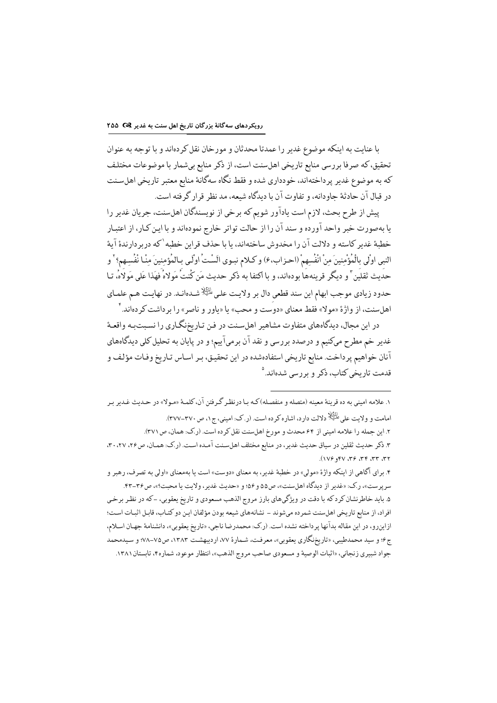با عنايت به اينكه موضوع غدير را عمدتا محدثان و مورخان نقل كردهاند و با توجه به عنوان تحقیق، که صرفا بررسی منابع تاریخی اهلسنت است، از ذکر منابع بیشمار با موضوعات مختلف كه به موضوع غدير پرداختهاند، خودداري شده و فقط نگاه سهگانهٔ منابع معتبر تاريخي اهلسنت در قبال آن حادثهٔ جاودانه، و تفاوت آن با دیدگاه شیعه، مد نظر قرار گرفته است.

پیش از طرح بحث، لازم است یادآور شویم که برخی از نویسندگان اهلسنت، جریان غدیر را یا بهصورت خبر واحد آورده و سند آن را از حالت تواتر خارج نمودهاند و با این کار، از اعتبار خطبهٔ غدیر کاسته و دلالت آن را مخدوش ساختهاند، یا با حذف قراین خطبه ٰ که دربردارندهٔ آیهٔ النبي اولي بالْمُؤْمِنِينَ مِنْ انْفُسِهِمْ (احزاب،٤) و كـلام نبـوي الَسْتُ اولَىي بـالمُؤمِنِينَ مِنْـا نْفُسِهم؟ ْ و حديث ثقليّن ّ و ديگر قرينهها بودهاند، و با اكتفا به ذكر حديث مَن كُنتُ مَولاهُ فهَذا عَلى مَولَاهُ، تـا حدود زيادي موجب ابهام اين سند قطعي دال بر ولايت على للَّيَّالِا شـدهانـد. در نهايـت هـم علمـاي اهلسنت، از واژهٔ «مولا» فقط معنای «دوَست و محب» یا «یاور و ناصر» را برداشت کردهاند. ٔ

در این مجال، دیدگاههای متفاوت مشاهیر اهلسنت در فن تـاریخنگـاری را نسـبتبـه واقعـهٔ غدیر خم مطرح میکنیم و درصدد بررسی و نقد آن برمیآییم؛ و در پایان به تحلیل کلی دیدگاههای آنان خواهيم پرداخت. منابع تاريخي استفادهشده در اين تحقيق، بـر اسـاس تـاريخ وفـات مؤلف و قدمت تاریخی کتاب، ذکر و بررسی شدهاند.<sup>۵</sup>

سريرست»، ر.ک: «غدير از ديدگاه اهلسنت»، ص۵۵ و ۵۶؛ و «حديث غدير، ولايت يا محبت؟»، ص۳۶-۴۳. ۵. باید خاطرنشان کرد که با دقت در ویژگیهای بارز مروج الذهب مسعودی و تاریخ یعقوبی، –که در نظر برخی افراد، از منابع تاریخی اهلسنت شمرده میشوند - نشانههای شیعه بودن مؤلفان این دو کتـاب، قابـل اثبـات اسـت؛ ازاینرو، در این مقاله بدآنها پرداخته نشده است. (ر.ک: محمدرضا ناجي، «تاریخ یعقوبي»، دانشنامهٔ جهـان اسـلام، ج۶؛ و سید محمدطیبی، «تاریخنگاری یعقوبی»، معرفت، شـمارهٔ ۷۷، اردیبهشـت ۱۳۸۳، ص۷۵-۷۸؛ و سـیدمحمد جواد شبيري زنجاني، «اثبات الوصية و مسعودي صاحب مروج الذهب»، انتظار موعود، شماره۴، تابستان ۱۳۸۱.

۱. علامه امینی به ده قرینهٔ معینه (متصله و منفصله)که بـا درنظـر گـرفتن آن،کلمـهٔ «مـولا» در حـدیث غـدیر بـر امامت و ولايت على عليَّظ دلالت دارد، اشاره كرده است. (ر.ك: اميني، ج١، ص٣٧٠-٣٧٧). ۲. این جمله را علامه امینی از ۶۴ محدث و مورخ اهلسنت نقل کرده است. (ر.ک: همان، ص٣٧١). ٣. ذكر حديث ثقلين در سياق حديث غدير، در منابع مختلف اهلسنت آمده است. (ر.ك: همان، ص٢۶، ٢٧، ٣٠،  $(119.98177)$  and  $(119.981)$ ۴. براي آگاهي از اينكه واژهٔ «مولي» در خطبهٔ غدير، به معناي «دوست» است يا بهمعناي «اولي به تصرف، رهبر و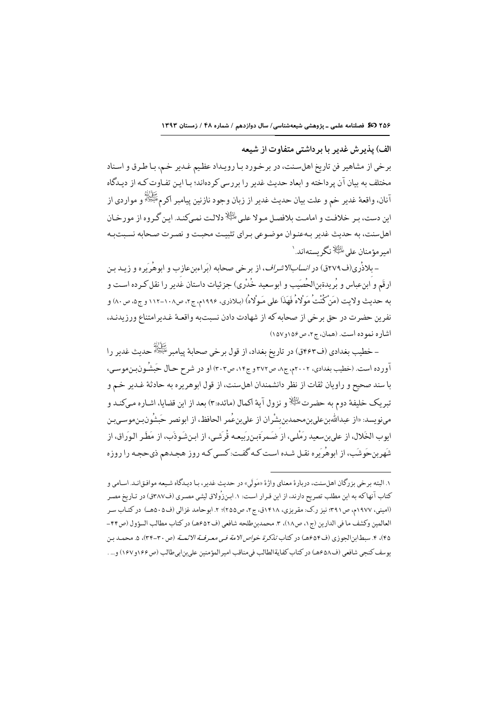الف) پذیر ش غدیر با بر داشتی متفاوت از شیعه

برخي از مشاهير فن تاريخ اهلسنت، در برخورد بـا رويـداد عظـيم غـدير خـم، بـا طـرق و اسـناد مختلف به بیان آن پرداخته و ابعاد حدیث غدیر را بررسی کردهاند؛ بـا ایـن تفـاوت کـه از دیـدگاه آنان، واقعهٔ غدیر خم و علت بیان حدیث غدیر از زبان وجود نازنین پیامبر اکرمﷺ و مواردی از این دست، بـر خلافت و امامـت بلافصـل مـولا علـى <sup>الثِّلا</sup> دلالـت نمـىكنـد. ايـن گـروه از مورخـان اهل سنت، به حدیث غدیر بهعنوان موضوعی بـرای تثبیت محبـت و نصـرت صـحابه نسـبتبـه امیر مؤمنان علی <sup>طلط</sup>ِلاً نگر بستهاند.`

- بلاذُري(ف٢٧٩ق) در *انسابالاشراف*، از برخي صحابه (بَراءبنِعازب و ابوهُريَره و زيـد بـن ارقَم و ابنِعباس و بُريدةبنِالحُصَيب و ابوسعيد خُدْري) جزئيات داستان غُدير را نقل كـرده اسـت و به حديث ولايت (مَنْ كُنْتُ مَوْلاهُ فَهَذَا على مَـوْلاهُ) (بـلاذري، ١٩٩۶م، ج٢، ص١٠٨-١١٢ و ج٥، ص٨٠) و نفرين حضرت در حق برخي از صحابه كه از شهادت دادن نسبتبه واقعـهٔ غـديرامتناع ورزيدنـد، اشاره نموده است. (همان، ج۲، ص۱۵۶و ۱۵۷)

– خطيب بغدادي (ف۴۶۳ق) در تاريخ بغداد، از قول برخي صحابةً پيامبر ﷺ حديث غدير را اّورده است. (خطیب بغدادی، ۲۰۰۲م، ج۸، ص۳۷۲ و ج۱۴، ص۳۰۳) او در شرح حـال حَبشُونبِنموسی، با سند صحیح و راویان ثقات از نظر دانشمندان اهلسنت، از قول ابوهریره به حادثهٔ غـدیر خـم و تبريک خليفهٔ دوم به حضرت <sup>الظِيلا</sup>و نزول آيهٔ اکمال (مائده:۳) بعد از اين قضايا، اشـاره مـىکنـد و مى نويسد: «از عبدالله بن على بن محمد بن شر ان از على بن عُمر الحافظ، از ابو نصر حَيشُو ن بن موسى بن ابوب الخَلال، از على بن سعيد رَمْلي، از ُ ضَمر ةبن رَبعه قُرتَني، از ابن شَوذَب، از مَطَر البوَراق، از .<br>شَهربنحَوشَب، از ابوهُريَره نقـل شـده اسـت كـه گفـت: كسـي كـه روز هجـدهم ذيحجـه را روزه

۱. البته برخي بزرگان اهلسنت، دربارهٔ معناي واژهٔ «مَولَى» در حديث غدير، بـا ديـدگاه شـيعه موافـقانـد. اسـامي و کتاب آنهاکه به این مطلب تصریح دارند، از این قـرار اسـت: ۱. ابـن(وُلاق لیثـی مصـری (ف۳۸۷ق) در تـاریخ مصـر (امینی، ۱۹۷۷م، ص۳۹۱: نیز رک: مقریزی، ۱۴۱۸ق، ج۲، ص۲۵۵)؛ ۲. ابوحامد غزالی (ف۵۰۵هـ) در کتـاب سـر العالمين وكشف ما في الدارين (ج١، ص١٨)، ٣. محمدبن طلحه شافعي (ف٤٥٢هـ) در كتاب مطالب السؤول (ص٤٤-۴۵)، ۴. سبطابنالجوزي (ف۴۵۴هـ) در كتاب *تذكرة خواص الامة في معرفـة الائمــة* (ص٣٠-٣۴)، ۵. محمـد بـن يوسف كنجي شافعي (ف٤٥٨هـ) در كتاب كفايةالطالب في مناقب امير المؤمنين على بن ابي طالب (ص١۶۶ و١٤٧) و... .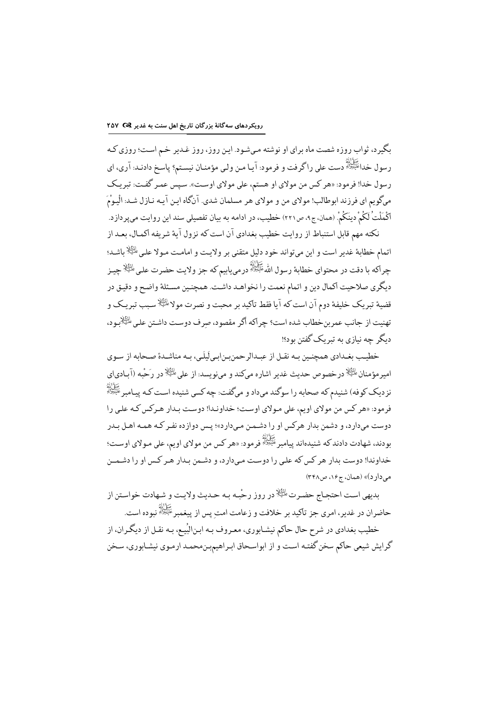.<br>بگیرد، ثواب روزه شصت ماه برای او نوشته مـیشـود. ایـن روز، روز غـدیر خـم اسـت؛ روزی *کـ*ه رسول خدائَتُنُّة است على راگرفت و فرمود: آيـا مـن ولـي مؤمنـان نيسـتم؟ پاسـخ دادنـد: آري، اي<br>رسول خدائَتُنِّة است رسول خدا! فرمود: «هر کس من مولاي او هستم، علي مولاي اوست». سپس عمـر گفـت: تبريـک ميگويم اي فرزند ابوطالب! مولاي من و مولاي هر مسلمان شدي. آنگاه اين آيـه نـازل شـد: الْيـوْمَ اكْمَلْتْ لَكُمْ دينَكُمْ. (همان، ج۹، ص٢٢١) خطيب، در ادامه به بيان تفصيلي سند اين روايت مي پردازد.

نکته مهم قابل استنباط از روایت خطیب بغدادی آن است که نزول آیهٔ شریفه اکمـال، بعـد از اتمام خطابهٔ غدیر است و این میتواند خود دلیل متقنی بر ولایت و امامت مـولا علـیﷺ باشـد؛ چراكه با دقت در محتواي خطابهٔ رسول اللهﷺ درمييابيم كه جز ولايت حضرت على <sup>الظِّلِا</sup> چيـز دیگری صلاحیت اکمال دین و اتمام نعمت را نخواهـد داشـت. همچنـین مسـئلهٔ واضـح و دقیـق در قضية تبريک خليفة دوم آن است که آيا فقط تاکيد بر محبت و نصرت مولا $\mathbb{R}^{\mathbb{K}}$ سـبب تبريـک و تهنيت از جانب عمربنخطاب شده است؟ چراكه أگر مقصود، صرف دوست داشتن على <sup>الثِّلا</sup>ُبود، دىگر چە نيازى پە تېرىك گفتن بود؟!

خطیب بغـدادي همچنـین بـه نقـل از عبـدالرحمنبـنابـیلَیلَـی، بـه مناشـدهٔ صـحابه از سـوی امیرمؤمنان <sup>الِثَالا</sup> درخصوص حدیث غدیر اشاره میکند و مینویسد: از علی <sup>الثِ</sup>الا در رَحْبه (آبـادیای نزدیک کوفه) شنیدم که صحابه را سوگند میداد و میگفت: چه کسی شنیده است کـه یـامـر عَلَيْوْلَلْهِ .<br>فرمود: «هر کس من مولای اویم، علی مـولای اوسـت؛ خداونـدا! دوسـت بـدار هـرکس کـه علـی را دوست میدارد، و دشمن بدار هرکس او را دشـمـن مـیدارد»؛ پـس دوازده نفـر کـه همـه اهـل بـدر بودند، شهادت دادند که شنیدهاند پیامبر ﷺ فرمود: «هر کس من مولای اویم، علی مـولای اوسـت؛ خداوندا! دوست بدار هر کس که علی را دوست میدارد، و دشـمن بـدار هـر کـس او را دشـمــن میدارد)» (همان، ج۱۶، ص۳۴۸)

بدیهی است احتجاج حضرت ﷺ در روز رحْبه بـه حـدیث ولایـت و شـهادت خواسـتن از كَرَاثُهُ<br>حاضران در غدير، امرى جز تأكيد بر خلافت و زعامت امت پس از پيغمبرِ ﷺ نبوده است. خطیب بغدادی در شرح حال حاکم نیشـابوری، معـروف بـه ابـنالبُیـع، بـه نقـل از دیگـران، از گرایش شیعی حاکم سخن گفتـه اسـت و از ابواسـحاق ابـراهیم.بـنمحمـد ارمـوي نيشـابوري، سـخن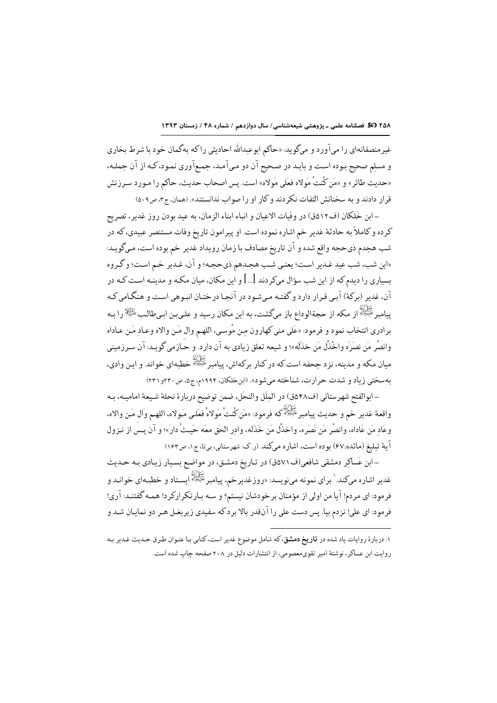غیرمنصفانهای را میآورد و میگوید: «حاکم ابوعبدالله احادیثی راکه بهگمان خود با شرط بخاری و مسلم صحیح بوده است و بایـد در صـحیح آن دو مـي آمـد، جمـع آوري نمـود، كـه از آن جملـه، «حديث طائر» و «مَن كُنتُ مَولاه فعَلى مَولاه» است. يس اصحاب حديث، حاكم را مـورد سـرزنش قرار دادند و به سخنانش التفات نکر دند و کار او را صواب ندانستند». (همان، ج۳، ص۰۹،

– ابن خَلِكان (ف١٢٥ق) در وفَيات الإعبان و انباء ابناء الزمان، به عبد بودن روز غدير ، تصريح كرده و كاملاً به حادثة غدير خم اشاره نموده است. او پيرامون تاريخ وفات مستنصر عبيدي، كه در شب هجدم ذيحجه واقع شده و آن تاريخ مصادف با زمان رويداد غدير خم بوده است، مـيگويـد: «اين شب، شب عيد غدير است؛ يعني شب هجـدهم ذيحجه؛ و آن، غـدير خـم اسـت؛ و گـروه بسیاری را دیدم که از این شب سؤال میکردند […] و این مکان، میان مکـه و مدینـه اسـت کـه در آن، غدیر (برکهٔ) آبی قرار دارد و گفته می شود در آنجـا درختـان انبـوهی اسـت و هنگـامی کـه پیامبر ﷺ از مکه از حجةالوداع باز میگشت، به این مکان رسید و علـیبـن ابـیطالـبﷺ را بـه برادري انتخاب نمود و فرمود: «عَلى منى كهارون مـن مُوسـى، اللهـم وال مَـن والاه وعـاد مَـن عـاداه وانصُر مَن نصَرَه واخْذُل مَن خذَلَه»؛ و شيعه تعلق زيادي به آن دارد. و حـَازمي گويـد: آن سـرزميني میان مکه و مدینه، نزد جحفه است که در کنار برکهاش، پیامبر ﷺ خطبهای خواند. و اپـن وادی، بهسختی زیاد و شدت حرارت، شناخته می شود». (این خلکان، ۱۹۹۴م، ج۵، ص۳۲۰و ۲۳۱)

- ابوالفتح شهرستاني (ف8۴۸ق) در المِلَل والنحَل، ضمن توضيح دربارة نحلة شيعة اماميـه، بـه واقعهٔ غدیر خم و حدیث پیامبرﷺ که فرمود: «مَن کُنتُ مَولاهُ فعَلـي مَـولاه، اللهـم وَال مَـن والاه، وعَاد مَن عَاداه، وانصُر مَن نَصَره، واخذُل مَن خَذَله، وادر الحَق معَه حَيثُ دار»؛ و آن يسَ از نـزول آية تبليغ (مائده:۶۷) بوده است، اشاره ميكند. (ر.ك: شهرستاني، بيتا، ج١، ص١٤٢)

-ابن عَساكر دمشقي شافعي(ف٧١٥ق) در تـاريخ دمشـق، در مواضـع بسـيار زيـادي بـه حـديث غدیر اشاره میکند.` برای نمونه مینویسد: «روزغدیرخم، پیامبرﷺ ایستاد و خطبـهای خوانـد و .<br>فرمود: ای مردم! آیا من اولی از مؤمنان برخودشان نیستم؟ و سـه بـارتکرارکرد! همـه گفتنـد: آري! .<br>فرمود: ای علی! نزدم بیا. پس دست علی را آنقدر بالا بر د که سفیدی زیر بغـل هـر دو نمایـان شـد و

۱. دربارهٔ روایات یاد شده در **تاریخ دمشق**، که شامل موضوع غدیر است، کتابی بـا عنـوان طـرق حـدیث غـدیر بـه روایت این عساکر، نوشتهٔ امیر تقوی معصومی، از انتشارات دلیل در ۲۰۸ صفحه چاپ شده است.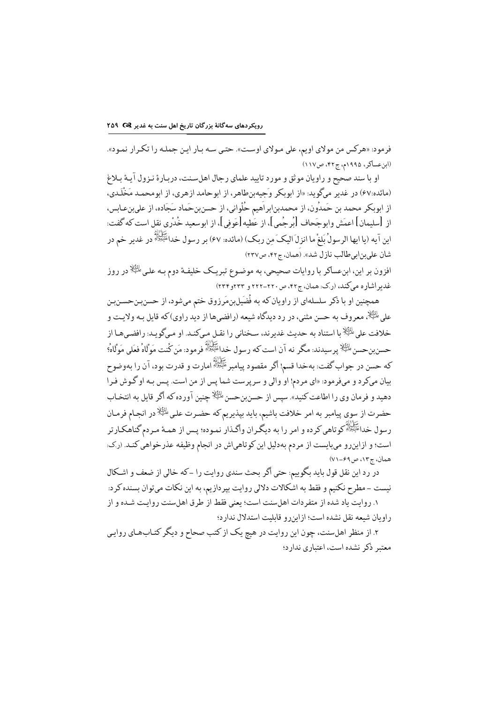فرمود: «هرکس من مولاي اويم، على مـولاي اوسـت». حتـي سـه بـار ايـن جملـه را تكـرار نمـود». (ابن عساكر، ١٩٩٥م، ج۴٢، ص١١٧)

او با سند صحیح و راویان موثق و مورد تایید علمای رجال اهل سنت، دربارهٔ نـزول آئـهٔ بـلاغ (مائده:۶۷) در غدیر میگوید: «از ابوبکر وَجِیهبنِطاهر، از ابوحامد ازهری، از ابومحمد مَخْلَدی، از ابوبکر محمد بن حَمدُون، از محمدبنابراَهيم حُلْواني، از حسنبنحَماد سَجَاده، از عليبنِعـابس، ازِ [سليمان] اعمَش وابوجَحاف [بُرجُمي]، از عَطيه[عَوفي]، از ابوسعيد خُدْري نقل است كه گفت: اين آيه (يا ايها الرسولُ بَلغْ ما انزلَ اليكَ مِن ربكِ) (مائده: ۶۷) بر رسول خداﷺ در غدير خم در شان علىبنابىطالب نازل شد». (َهمان، ج۴۲، ص۲۳۷)

افزون بر این، ابنءساکر با روایات صحیحی، به موضوع تبریک خلیفهٔ دوم بـه علـی <sup>طائِلا</sup>ً در روز غدیراشاره میکند، (رک: همان، ج۴۲، ص ۲۲۰-۲۲۲ و ۲۳۴و۲۳۴)

همچنین او با ذکر سلسلهای از راویان که به فُضَیلبنمَرزوق ختم میشود، از حسنبـنحسـنبـن على الظِّلا معروف به حسن مثنى، در رد ديدگاه شيعه (رافضيها از ديد راوي)كه قايل بـه ولايـت و خلافت على ﷺ ما استناد به حديث غدير ند، سـخناني را نقــل مــى كنــد. او مــى گو بــد: ر افضـي هــا از حسنبن حسن <sup>المُثِيَّلا</sup> پرسيدند: مگر نه آن است كه رسول خدائَتِيَوَلَّهُ فرمود: مَن كُنت مَوَلَاهُ فعَلى مَوَلَاهُ؟ كه حسن در جواب گفت: بهخدا قسم! أگر مقصود پيامبر ﷺ امارت و قدرت بود، آن را بهوضوح بیان میکرد و میفرمود: «ای مردم! او والی و سرپرست شما پس از من است. پـس بـه او گـوش فـرا دهید و فرمان وی را اطاعت کنید». سیس از حسنبن حسن <sup>بلوئ</sup>لا چنین آورده که اگر قایل به انتخـاب حضرت از سوى پيامبر به امر خلافت باشيم، بايد بپذيريم كه حضـرت علـىﷺ در انجـام فرمـان رسول خداﷺ کوتاهي کرده و امر را به ديگران واگـذار نمـوده؛ پـس از همـهٔ مـردم گناهكـارتر است؛ و ازاینِرو میبایست از مردم بهدلیل این کوتاهیاش در انجام وظیفه عذرخواهی کنـد. (رک: همان، ج۱۳، ص۶۹-۷۱)

در رد اين نقل قول بايد بگوييم: حتى أكر بحث سندي روايت را -كه خالي از ضعف و اشكال نیست –مطرح نکنیم و فقط به اشکالات دلالی روایت بیردازیم، به این نکات میتوان بسنده کرد: ١. روايت ياد شده از متفردات اهل سنت است؛ يعني فقط از طرق اهل سنت روايت شـده و از ر او بان شیعه نقل نشده است؛ از این و و قابلیت استدلال ندار د؛

۲. از منظر اهلسنت، چون این روایت در هیچ یک از کتب صحاح و دیگر کتـابـهـای روایـی معتبر ذکر نشده است، اعتباری ندارد؛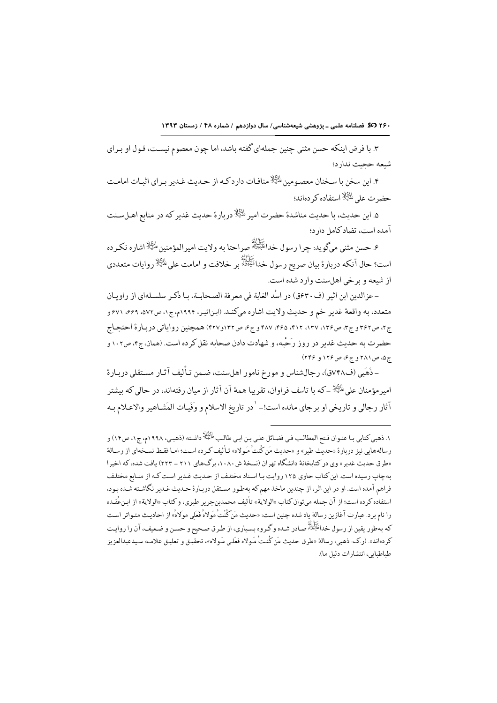٢۶٠ 37 فصلنامه علمی ـ پژوهشی شیعهشناسی/ سال دوازدهم / شماره ۴۸ / زمستان ١٣٩٣

۳. با فرض اینکه حسن مثنی چنین جملهای گفته باشد، اما چون معصوم نیسـت، قـول او بـرای شيعه حجبت ندارد؛

۴. این سخن با سـخنان معصـومین <sup>پانگِلا</sup> منافـات دارد کـه از حـدیث غـدیر بـرای اثبـات امامـت حضر ت على طَظِّلًا استفاده كر دهاند؛

۵. این حدیث، با حدیث مناشدهٔ حضرت امیر <sup>طائِع</sup>لا دربارهٔ حدیث غدیر که در منابع اهـلسـنت آمده است، تضاد كامل دارد؛

ع حسن مثني ميگويد: چرا رسول خدا<sup>عليکولله</sup> صراحتا به ولايت اميرالمؤمنين <sup>طلط</sup>يلا اشاره نک رده<br>۶. حسن مثني ميگويد: چرا رسول خدا<sup>عليکولله</sup> صراحتا به ولايت اميرالمؤمنين <sup>طلط</sup>يلا اشاره نک رده است؟ حال آنکه دربارهٔ بیان صریح رسول خداﷺ بر خلافت و امامت علیﷺ روایات متعددی از شیعه و بر خی اهل سنت وار د شده است.

- عزالدين ابن اثير (ف٣٠عق) در اسْد الغابة في معرفة الصحابـة، بـا ذكـر سلسـلهاي از راويـان متعدد، به واقعهٔ غدیر خم و حدیث ولایت اشاره میکند. (ابناثیر، ۱۹۹۴م، ج۱، ص۵۷۲، ۶۶۹، ۶۷۱ و ج۲، ص۳۶۲ و ج۳، ص۱۳۶، ۱۳۷، ۴۱۲، ۴۸۷، ۴۶۵، ۴۸۷ و ج۶، ص۱۳۲و۴۲۷) همچنین روایاتی دربارهٔ احتجاج حضرت به حدیث غدیر در روز رَحْبه، و شهادت دادن صحابه نقل کرده است. (همان، ج۴، ص۱۰۲ و ج۵، ص ۲۸۱ و ج۶، ص ۱۲۶ و ۲۴۶)

- ذَهَبِي (ف٧٤٨ق)، رجالشناس و مورخ نامور اهلسنت، ضمن تـأليف آثـار مسـتقلي دربـارة امیر مؤمنان علی ﷺ ـ که با تاسف فراوان، تقریبا همهٔ آن آثار از میان رفتهاند، در حالی که بیشتر آثار رجالي و تاريخي او برجاي مانده است!- `در تاريخ الاسلام و وَفَيات المَشـاهير والاعـلام بـه

١. ذهبي كتابي بـا عنـوان فـتح المطالـب فـي فضـائل علـي بـن ابـي طالـب عٰلَيًّا لِا داشـته (ذهبـي، ١٩٩٨م، ج١، ص١٢) و رسالههايي نيز دربارة «حديث طير» و «حديث مَن كُنتُ مَولاه» تـأليف كـرده اسـت؛ امـا فقـط نسـخهاي از رسـالة «طرق حدیث غدیر» وی در کتابخانهٔ دانشگاه تهران (نسخهٔ ش ۱۰۸۰، برگ&ای ۲۱۱ - ۲۲۳) یافت شده، که اخیرا بهچاپ رسیده است. این کتاب حاوی ۱۲۵ روایت با اسناد مختلف از حدیث غدیر است کـه از منـابع مختلف فراهم آمده است. او در این اثر، از چندین ماخذ مهم که بهطور مستقل دربارهٔ حـدیث غـدیر نگاشـته شـده بـود، استفاده كرده است؛ از آن جمله ميتوان كتاب «الولاية» تأليف محمدبنجرير طبري، و كتاب «الولاية» از ابـنءُقـده را نام برد. عبارت آغازین رسالهٔ یاد شده چنین است: «حدیث مَن كُنْتُ مَولاهُ فَعَلى مولاهُ» از احادیث متـواتر است که بهطور يقين از رسول خداﷺ صـادر شـده و گـروه بسـياري، از طـرق صـحيح و حسـن و ضـعيف، آن را روايـت كردهاند». (ر.ك: ذهبي، رسالة «طرق حديث مَن كُنتُ مَـولاه فعَلـى مَـولاه»، تحقيق و تعليق علامـه سـيدعبدالعزيز طباطبابي، انتشار ات دليل ما).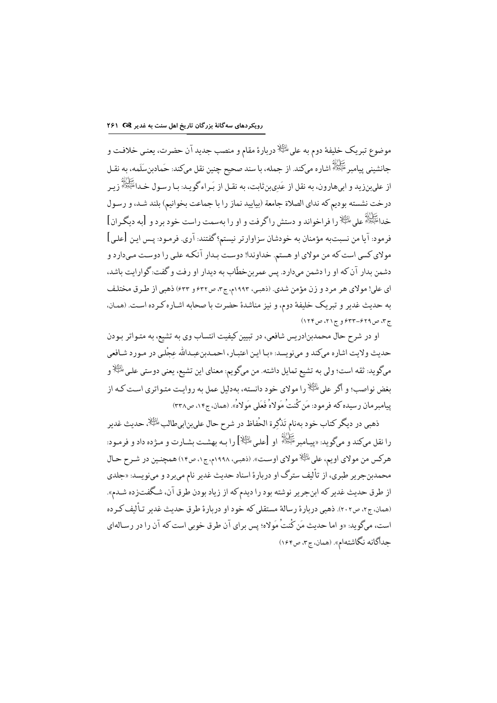موضوع تبريک خليفة دوم به علىﷺ دربارة مقام و منصب جديد آن حضرت، يعني خلافت و جانشيني پيامبر ﷺ اشاره ميكند. از جمله، با سند صحيح چنين نقل ميكند: حَمادبنِسَلَمه، به نقـل از عليبنزيد و ابيهارون، به نقل از عَديبنِ ثابت، به نقـل از بَـراء گويـد: بـا رسـول خـداءَتَّ اللهُ زيـر درخت نشسته بودیم که ندای الصلاة جامعة (بیایید نماز را با جماعت بخوانیم) بلند شـد، و رسـول خداءَ اللَّهُ على عليه السَّلاَّ را فراخواند و دستش راگرفت و او را بهسمت راست خود برد و [به دیگران] فرمود: آيا من نسبتبه مؤمنان به خودشان سزاوارتر نيستم؟ گفتند: آري. فرمـود: يـس ايـن [علـي] مولای کسی است که من مولای او هستم. خداوندا! دوست بـدار آنکـه علـی را دوسـت مـیدارد و دشمن بدار آن که او را دشمن میدارد. پس عمر بنخطَّاب به دیدار او رفت و گفت: گوارایت باشد، ای علي! مولای هر مرد و زن مؤمن شدی. (ذهبي، ۱۹۹۳م، ج۳، ص۶۳۲ و ۶۳۳) ذهبي از طرق مختلف به حديث غدير و تبريك خليفة دوم، و نيز مناشدة حضرت با صحابه اشـاره كـرده اسـت. (همـان، ج۳، ص۶۲۹–۶۳۳ و ج۲۱، ص۱۲۴)

او در شرح حال محمدبنادریس شافعی، در تبیین کیفیت انتساب وی به تشیع، به متـواتر بـودن حديث ولايت اشاره ميكند و مي;ويسد: «بـا ايـن اعتبـار، احمـدبنعبـدالله عجْلـي در مـورد شـافعي ميگويد: ثقه است؛ ولي به تشيع تمايل داشته. من ميگويم: معناي اين تشيع، يعني دوستي علي الثِّلاو بغض نواصب؛ و اگر علي ﷺ را مولاي خود دانسته، بهدليل عمل به روايت متـواتري اسـت كـه از ييامبر مان رسيده كه فرمود: مَن كُنتُ مَولاهُ فَعَلى مَولاهُ». (همان، ج١۴، ص٣٣٨)

ذهبی در دیگر کتاب خود بهنام تَذْکِرة الحُفاظ در شرح حال علیبنابیطالب <sup>المِتَّالِا</sup>، حدیث غدیر را نقل میكند و میگوید: «پیـامبرِ ﷺ او [علـی ﷺ] را بـه بهشـت بشـارت و مــژده داد و فرمـود: هرکس من مولاي اويم، على ﷺ مولاي اوست». (ذهبي، ١٩٩٨م، ج١، ص١٤) همچنين در شـرح حـال محمدبنجریر طبری، از تألیف سترگ او دربارهٔ اسناد حدیث غدیر نام میبرد و مینویسد: «جلدی از طرق حديث غدير كه ابنجرير نوشته بود را ديدم كه از زياد بودن طرق آن، شـگفتزده شـدم». (همان، ج۲، ص۲۰۲). ذهبی دربارهٔ رسالهٔ مستقلی که خود او دربارهٔ طرق حدیث غدیر تـألیف کـرده است، میگوید: «و اما حدیث مَن کُنتُ مَولاه؛ پس برای آن طرق خوبی است که آن را در رسـالهای جداگانه نگاشتهام». (همان، ج۳، ص۱۶۴)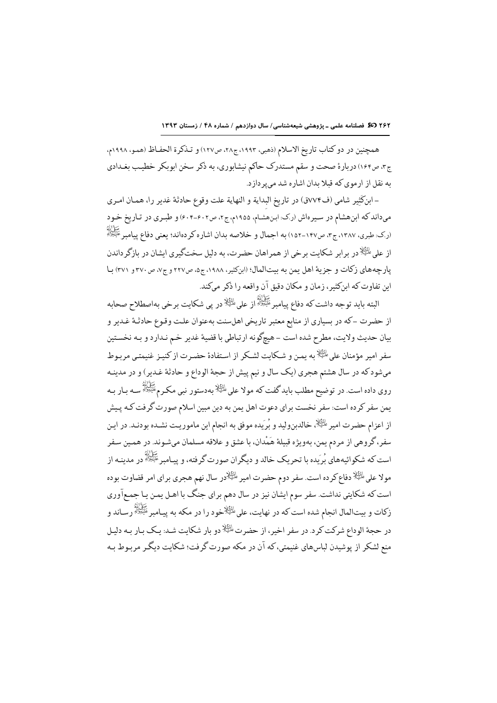همچنین در دو کتاب تاریخ الاسلام (ذهبي، ١٩٩٣، ج٢٨، ص١٢٧) و تـذکرة الحفـاظ (همـو، ١٩٩٨م، ج۴، ص۱۶۴) دربارهٔ صحت و سقم مستدرک حاکم نیشابوری، به ذکر سخن ابوبکر خطیب بغـدادی به نقل از ارموي كه قبلا بدان اشاره شد مى پردازد.

-ابنكَثير شامي (ف٧٧٤ق) در تاريخ البداية و النهاية علت وقوع حادثة غدير را، همـان امـري میداند که ابنهشام در سیرهاش (ر.ک: ابنهشام، ۱۹۵۵م، ج۲، ص۶۰۲-۶۰۴) و طبـري در تـاریخ خـود رک: طبری، ۱۳۸۷، ج۲، ص۱۴۷-۱۵۲) به اجمال و خلاصه بدان اشاره کردهاند؛ یعنی دفاع پیامبر عَلَیْوْلُلُّهِ (<br>(رک: طبری، ۱۳۸۷، ج۲، ص۱۴۷–۱۵۲) به اجمال و خلاصه بدان اشاره کردهاند؛ یعنی دفاع پیامبر عَلَیْوْلُلُّهِ از علی <sup>طلط</sup>خلا در پر ایر شکایت بر خی از همراهان حضرت، به دلیل سختگیری ایشان در پازگر داندن يار جههاي زكات و حزية اهل بمن به بيتالمال؛ (اين كثير، ١٩٨٨، ج٥، ص٢٢٧ و ج٧، ص٣٧٠ و ٣٧١) با این تفاوت که ابنکثیر، زمان و مکان دقیق آن واقعه را ذکر میکند.

البته بايد توجه داشت كه دفاع پيامبر ﷺ ( على الثِّلا در پي شكايت برخي بهاصطلاح صحابه از حضرت –که در بسیاری از منابع معتبر تاریخی اهلسنت بهعنوان علت وقوع حادثـهٔ غـدیر و بيان حديث ولايت، مطرح شده است – هيچگونه ارتباطي با قضية غدير خـم نـدارد و بـه نخسـتين سفر امیر مؤمنان علی ﷺ به بمن و شکایت لشکر از استفادهٔ حضرت از کنیز غنیمتبی مریوط میشودکه در سال هشتم هجری (یک سال و نیم پیش از حجهٔ الوداع و حادثهٔ غدیر) و در مدینـه روی داده است. در توضیح مطلب بایدگفت که مولا علی <sup>پلظیلا</sup> بهدستور نبی مکـرم<sup>عَلَیْوْلل</sup>َّ سـه بـار بـه یمن سفر کرده است: سفر نخست برای دعوت اهل یمن به دین مبین اسلام صورت گرفت کـه پـیش از اعزام حضرت امیر ﷺ خالدبن ولید و بُرِيده موفق به انجام این ماموریت نشـده بودنـد. در ایـن سفر، گروهي از مردم يمن، بهويژه قبيلة هَمْدان، با عشق و علاقه مسلمان ميشـوند. در همـين سـفر است که شکوائیههای بُریده با تحریک خالد و دیگران صورت گرفته، و پیـامبرﷺ در مدینـه از مولا علی <sup>ططِّلا</sup> دفاع کرده است. سفر دوم حضرت امیر <sup>طلِط</sup>ِلادر سال نهم هجری برای امر قضاوت بوده است که شکایتی نداشت. سفر سوم ایشان نیز در سال دهم برای جنگ با اهـل یمـن یـا جمـع|وری زکات و بیتالمال انجام شده است که در نهایت، علی الخُلِخخود را در مکه به پیـامبر ﷺ رسـاند و در حجهٔ الوداع شرکت کرد. در سفر اخیر، از حضرت <sup>پائِی</sup>لا دو بار شکایت شد: یـک بـار بـه دلیـل منع لشکر از یوشیدن لباس های غنیمتی،که آن در مکه صورت گرفت؛ شکایت دیگر مربوط به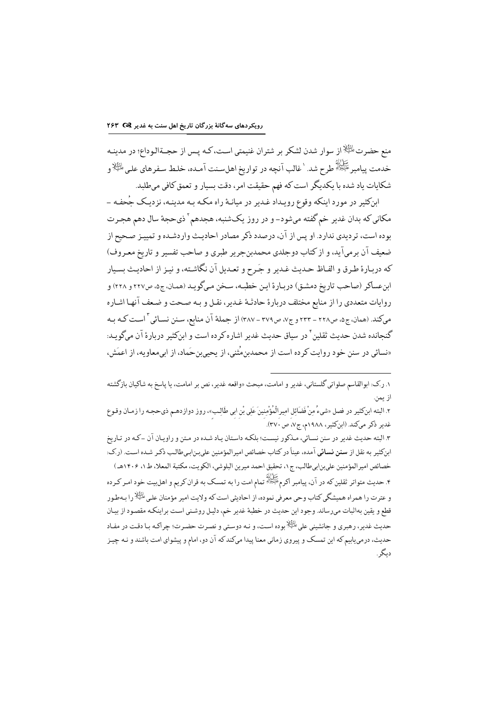منع حضرت ﷺاز سوار شدن لشكر بر شتران غنيمتي است، كـه يـس از حجــةالـوداع؛ در مدينـه خدمت پيامبر <sup>عَلَيْوْلَهٖ</sup> طرح شد. `غالب آنچه در تواريخ اهلسـنت آمـده، خلـط سـفرهاي علـي <sup>الِثَي</sup>ْلاو شکايات ياد شده با يکديگر است که فهم حقيقت امر، دقت بسيار و تعمق کافي ميطلبد.

ابنکثیر در مورد اینکه وقوع رویـداد غـدیر در میانـهٔ راه مکـه بـه مدینـه، نزدیـک جُحفـه -مکانی که بدان غدیر خم گفته میشود- و در روز یکشنبه، هجدهم ٔ ذیحجهٔ سال دهم هجـرت بوده است، تر دیدی ندار د. او پس از آن، در صدد ذکر مصادر احادیث وار دشـده و تمییز صحیح از ضعیف آن برمیآید، و از کتاب دوجلدی محمدبن جریر طبری و صاحب تفسیر و تاریخ معـروف) كه دربارة طرق و الفاظ حديث غدير و جَرح و تعديل آن نگاشته، و نيز از احاديث بسيار ابنءساكر (صاحب تاريخ دمشـق) دربـارهٔ ايـن خطبـه، سـخن مـىگويـد (همـان، ج۵، ص٢٢٧ و ٢٢٨) و روایات متعددي را از منابع مختلف دربارة حادثـهٔ غـدیر، نقـل و بـه صـحت و ضـعف آنهـا اشـاره مي كند. (همان، ج٥، ص٢٢٨ - ٢٣٣ و ج٧، ص٣٧٩ - ٣٨٧) از جملةَ آن منابع، سـنن نسـائي ` اسـت كـه بـه گنجانده شدن حدیث ثقلین ٔ در سیاق حدیث غدیر اشاره کرده است و این کثیر در بارهٔ آن می گویید: «نسائی در سنن خود روایت کرده است از محمدین مُثنی، از یحبی بن حَماد، از ابی معاویه، از اعمَش،

١. ر.ک: ابوالقاسم صلواتي گلستاني، غدير و امامت، مبحث «واقعه غدير، نص بر امامت، يا پاسخ به شاكيان بازگشته از يمن.

٢. البته ابنكثير در فصل «شيءٌ مِنْ فَضَائِل امِيرالْمُؤْمِنِينَ عَلِي بْن ابي طَالِب»، روز دوازدهـم ذيحجـه را زمـان وقـوع غدیر ذکر میکند. (ابنکثیر، ۱۹۸۸م، ج۷، ص ۳۷۰).

۳. البته حديث غدير در سنن نسـائي، مـذكور نيسـت؛ بلكـه داسـتان يـاد شـده در مـتن و راويـان آن ــكـه در تـاريخ ابن كثير به نقل از **سنن نسائي** آمده، عيناً در كتاب خصائص اميرالمؤمنين على بن ابي طالب ذكر شـده اسـت. (ر.ك: خصائص اميرالمؤمنين علىبنابىطالب، ج١، تحقيق احمد ميرين البلوشي، الكويت، مكتبة المعلا، ط١، ١٤٠۶هـ) ۴. حدیث متواتر ثقلین که در آن، پیامبر اکرم<sup>علیقولله</sup> تمام امت را به تمسک به قران کریم و اهل بیت خود امـر کـرده و عترت را همراه همیشگی کتاب وحی معرفی نموده، از احادیثی است که ولایت امیر مؤمنان علی <sup>طلِقا</sup>لا را بـهطـور قطع و يقين بهاثبات مىرساند. وجود اين حديث در خطبهٔ غدير خم، دليل روشني است براينكـه مقصود از بيـان حدیث غدیر، رهبری و جانشینی علی الثِّلا بوده است، و نـه دوسـتی و نصـرت حضـرت؛ چراکـه بـا دقـت در مفـاد حدیث، درمی یابیم که این تمسک و پیروی زمانی معنا پیدا میکند که آن دو، امام و پیشوای امت باشند و نـه چیـز دىگە .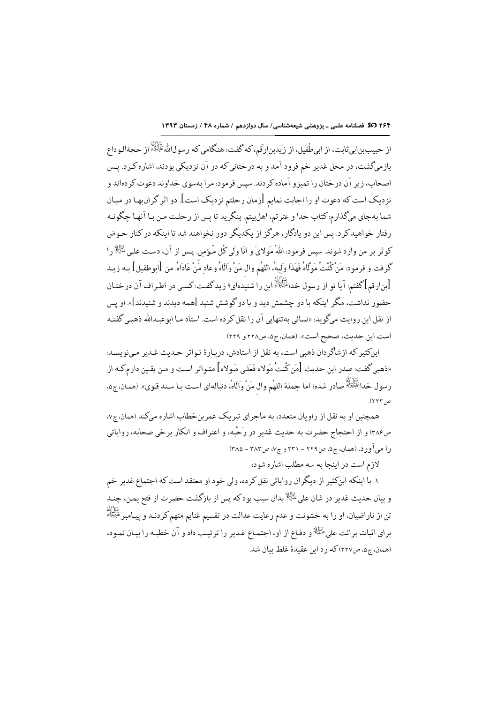۲۶۴ (36 فصلنامه علمی ـ یژوهشی شیعهشناسی/ سال دوازدهم / شماره ۴۸ / زمستان ۱۳۹۳

از حبيب بنابي ثابت، از ابي طُفَيل، از زَيدبنارْقَم، كه گفت: هنگامي كه رسولاالله ﷺ از حجةالـوداع بازمیگشت، در محل غدیر خم فرود آمد و به درختانی که در آن نزدیکی بودند، اشاره کـرد. پـس اصحاب، زیر آن درختان را تمیزو آماده کردند. سپس فرمود: مرا بهسوی خداوند دعوت کردهاند و نزدیک است که دعوت او را اجابت نمایم [زمان رحلتم نزدیک است]. دو اثر گران بها در میـان شما بهجاي ميگذارم:كتاب خدا و عترتم، اهلبيتم. بنگريد تا پس از رحلت مـن بـا آنهـا چگونـه رفتار خواهیدکرد. پس این دو یادگار، هرگز از یکدیگر دور نخواهند شد تا اینکه در کنار حـوض كوثر بر من وارد شوند. سپس فرمود: اللهُ مَوَلايَ و انّا وَلَى كُلّ مُؤمن. پس از آن، دست علي ﷺ را گرفت و فرمود: مَنْ كُنْتْ مَولَاهُ فَهَذَا وَلِيهُ، اللهُم وال مَنْ وَالَاهُ وعادِ مَّنْ عَادَاهُ. من [ابوطفيل] بـه زيـد [بن|رقم] گفتم: آيا تو از رسول خداعَيْتِيْلُهُ اين را شنيدهاي؟ زيدگفت:كسي در اطـراف آن درختـان حضور نداشت، مگر اینکه با دو چشمش دید و با دو گوشش شنید [همه دیدند و شنیدند]». او پس از نقل این روایت میگوید: «نسائی به تنهایی آن را نقل کرده است. استاد مـا ابوعبـدالله ذهبـی گفتـه است اين حديث، صحيح است». (همان، ج۵، ص۲۲۸ و ۲۲۹)

ابنكثير كه ازشاگردان ذهبي است، به نقل از استادش، دربـارهٔ تـواتر حـديث غـدير مـي;ويسـد: «ذهبي گفت: صدر اين حديث [مَن كُنتُ مَولاه فَعَلى مَـولاه] متـواتر اسـت و مـن يقـين دارم كـه از رسول خداءَ السَّلَاةُ )<br>رسول خداءَ النِّعْلَةُ صادر شده؛ اما جملة اللهُم وال مَنْ واَلَاهُ، دنبالهاي است بـا سـند قـوي». (همـان، ج۵، ص٢٢٣).

همچنین او به نقل از راویان متعدد، به ماجرای تبریک عمربنخطاب اشاره میکند (همان، ج۷، ص٢٨۶) و از احتجاج حضرت به حديث غدير در رَحْبه، و اعتراف و انكار برخي صحابه، رواياتي ر آ می آور د. (همان، ج۵، ص۲۲۹ – ۲۳۱ و ج۷، ص۳۸۳ – ۳۸۵)

لازم است در اینجا به سه مطلب اشاره شود:

۱. با اینکه ابنکثیر از دیگران روایاتی نقل کرده، ولی خود او معتقد است که اجتماع غدیر خم و بیان حدیث غدیر در شان علی<sup> الِثَی</sup>ْلا بدان سبب بودکه پس از بازگشت حضرت از فتح یمـن، چنـد تن از ناراضیان، او را به خشونت و عدم رعایت عدالت در تقسیم غنایم متهم کردنـد و پیـامبرﷺ براي اثبات برائت على <sup>الخِلْإ</sup> و دفـاع از او، اجتمـاع غـدير را ترتيـب داد و آن خطبـه را بيـان نمـود، (همان، ج۵، ص۲۲۷) که ۱ د این عقیدهٔ غلط بیان شد.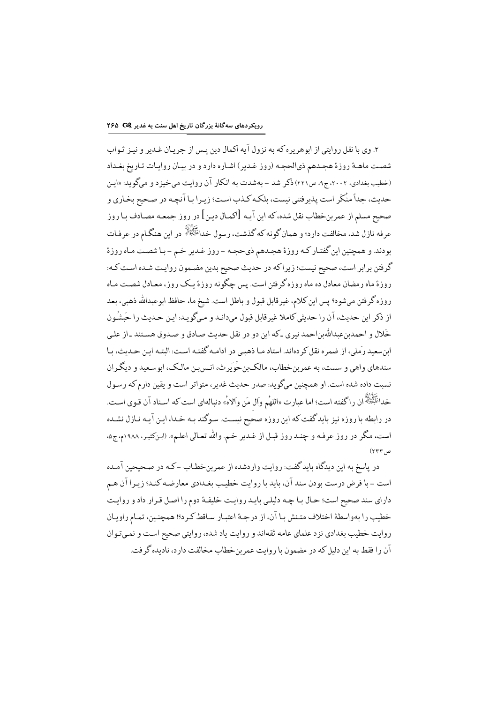۲. وی با نقل روایتی از ابوهریره که به نزول آیه اکمال دین پس از جریـان غـدیر و نیـز ثـواب شصت ماهـهٔ روزهٔ هجـدهم ذيالحجـه (روز غـدير) اشـاره دارد و در بيـان روايـات تـاريخ بغـداد (خطیب بغدادی، ۲۰۰۲، ج۹، ص۲۲۱) ذکر شد – بهشدت به انکار آن روایت می خیزد و میگوید: «ایـن حدیث، جداً منْکَر است پذیرفتنی نیست، بلکه کـذب اسـت؛ زیـرا بـا آنچـه در صـحیح بخـاری و صحيح مسلم از عمربنخطاب نقل شده، كه اين آيـه [اكمـال ديـن] در روز جمعـه مصـادف بـا روز عرفه نازل شد، مخالفت دارد؛ و همان گونه که گذشت، رسول خداءً بُعِثَلٌ در این هنگـام در عرفـات بودند. و همچنین این گفتـار کـه روزهٔ هجـدهم ذيحجـه – روز غـدیر خـم – بـا شصـت مـاه روزهٔ گرفتن برابر است، صحیح نیست؛ زیراکه در حدیث صحیح بدین مضمون روایت شـده اسـت کـه: روزهٔ ماه رمضان معادل ده ماه روزه گرفتن است. پس چگونه روزهٔ یک روز، معـادل شصـت مـاه روزه گرفتن میشود؟ پس این کلام، غیرقابل قبول و باطل است. شیخ ما، حافظ ابوعبدالله ذهبی، بعد از ذكر اين حديث، آن را حديثي كاملا غير قابل قبول مي دانـد و مـيگو يـد: ايـن حـديث را حَبشُـون .<br>خَلال و احمدین عبدالله بن احمد نیری ـ که این دو در نقل حدیث صادق و صـدوق هسـتند ـ از علـی ابنسعید رَملی، از ضمره نقل کردهاند. استاد مـا ذهبـي در ادامـه گفتـه اسـت: البتـه ايـن حـديث، بـا سندهاي واهي و سست، به عمر بن خطاب، مالک بن حُوِير ث، انـس بـن مالـک، ابو سـعيد و ديگـران نسبت داده شده است. او همچنین میگوید: صدر حدیث غدیر، متواتر است و یقین دارم که رسـول خداءَ الآلة<br>خداءَ الرَّسَةُ أنَّ را گفته است؛ اما عبارت «اللهُم وال مَن والاهُ» دنبالهاي است كه اسـناد آن قـوي اسـت. در رابطه با روزه نیز بایدگفت که این روزه صحیح نیست. سوگند بـه خـدا، ایـن آیـه نـازل نشـده است، مگر در روز عرفـه و چنـد روز قبـل از غـدیر خـم. والله تعـالي اعلـم». (ابـنكثيـر، ١٩٨٨م،ج۵، ص۲۳۳)

در ياسخ به اين ديدگاه بايد گفت: روايت واردشده از عمربنخطـاب -كـه در صـحيحين آمـده است – با فرض درست بودن سند آن، بايد با روايت خطيب بغـدادي معارضـه كنـد؛ زيـرا آن هـم داراي سند صحيح است؛ حـال بـا چـه دليلـي بايـد روايـت خليفـهٔ دوم را اصـل قـرار داد و روايـت خطيب را بهواسطة اختلاف متـنش بـا آن، از درجـهٔ اعتبـار سـاقط كـرد؟! همچنـين، تمـام راويـان روایت خطیب بغدادی نزد علمای عامه ثقهاند و روایت یاد شده، روایتی صحیح اسـت و نمـیتـوان آن را فقط به این دلیل که در مضمون با روایت عمرین خطاب مخالفت دارد، نادیده گرفت.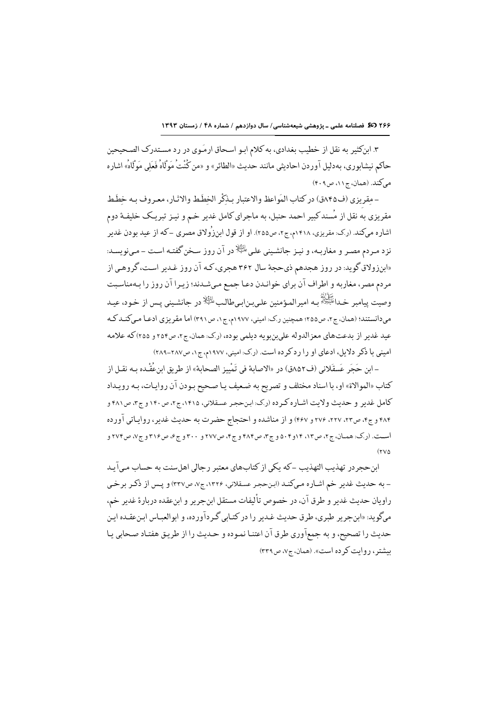۳. ابنکثیر به نقل از خطیب بغدادی، به کلام ابو اسحاق ارمَوی در رد مستدرک الصحیحین حاكم نيشابوري، بهدليل آوردن احاديثي مانند حديث «الطائر» و «من كُنْتُ مَوْلَاهُ فَعَلى مَوْلَاهُ» اشاره می کند. (همان، ج۱۱، ص۴۰۹)

-مقريزي (ف٨۴۵ق) در كتاب المَواعظ والاعتبار بـذكْر الخطَط والإثـار، معبروف بـه خطَط مقریزی به نقل از مُسند کبیر احمد حنبل، به ماجرای کامل غدیر خم و نیـز تبریـک خلیفـهٔ دوم اشاره میکند. (ر.ک: مقریزی، ۱۴۱۸م،ج۲، ص۲۵۵). او از قول ابنزرُولاق مصری –که از عید بودن غدیر نزد مـردم مصـر و مغاربـه، و نيـز جانشـيني علـي#الله در آن روز سـخن گفتـه اسـت - مـي;ويسـد: «ابنزولاق گوید: در روز هجدهم ذيحجهٔ سال ۳۶۲ هجري، كـه آن روز غـدير اسـت، گروهـي از مردم مصر، مغاربه و اطراف آن براي خوانـدن دعـا جمـع مـىشـدند؛ زيـرا آن روز را بـهمناسـبت وصت يبامبر خداءَ الله عليه .<br>وصت يبامبر خداءَ الله الله عنه الله عنه علي بن ابي طالب الثِّلا در حانشيني يس از خود، عبد می دانستند؛ (همان، ج۲، ص۲۵۵؛ همچنین ر.ک: امینی، ۱۹۷۷م، ج۱، ص۴۹۱) اما مقر بزی ادعـا مـی کنـد کـه عيد غدير از بدعتهاي معزالدوله على بن بويه ديلمي بوده، (رك: همان، ج٢، ص٢٥٢ و ٢٥٥) كه علامه امینی با ذکر دلایل، ادعای او را رد کرده است. (رک: امینی، ۱۹۷۷م، ج۱، ص۲۸۷-۲۸۹)

- ابن حَجَر عَسقَلاني (ف٨٥٢ق) در «الاصابة في تَمْييز الصحابة» از طريق ابنِعُقْـده بـه نقـل از كتاب «الموالاة» او، با اسناد مختلف و تصريح به ضعيف يـا صـحيح بـودن آن روايـات، بـه رويـداد کامل غدیر و حدیث ولایت اشـاره کـر ده (رک: این حجـر عسقلانی، ۱۴۱۵، ج۲، ص۱۴۰ و ج۳، ص۴۸۱ و ۴۸۴ و ج۴، ص۲۲، ۲۲۷، ۲۷۶ و ۴۶۷) و از مناشده و احتجاج حضرت به حدیث غدیر، روایاتی آورده است. (ر.ک: همیان، ج۲، ص۱۳، ۱۴و۵۰۴ و ج۳، ص۴۸۴ و ج۴، ص۲۷۷ و ۳۰۰ و ج۶، ص۳۱۶ و ج۷، ص۲۷۴ و  $(3.00)$ 

ابن حجر در تهذیب التهذیب –که یکی از کتابهای معتبر ر حالی اهل سنت به حساب می آید - به حدیث غدیر خم اشـاره مـيكنـد (ابـنحجـر عسـقلاني، ١٣٢۶، ج٧، ص٣٣٧) و پـس از ذكـر برخـي راويان حديث غدير و طرق آن، در خصوص تأليفات مستقل ابن جرير و ابنءقده دربارة غدير خم، ميگو يد: «ابنجر پر طبري، طرق حديث غـدير را در كتـابي گـر دآورده، و ابوالعبـاس ابـنءقـده ايـن حديث را تصحيح، و به جمعآوري طرق آن اعتنـا نمـوده و حـديث را از طريـق هفتـاد صـحابي يـا بیشتر ، روایت کرده است». (همان، ج۷، ص۳۳۹)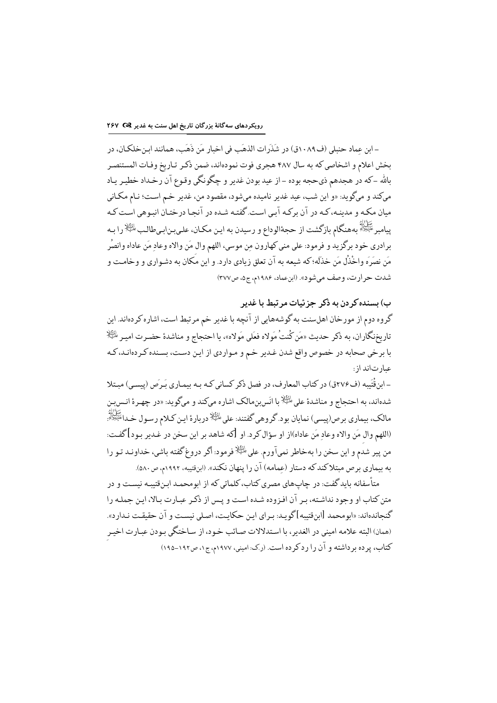– ابن عماد حنبلي (ف١٠٨٩ق) در شَذَرات الذهَب في اخبار مَن ذَهَبٍ، همانند ابن خلكـان، در بخش اعلام و اشخاصي كه به سال ۴۸۷ هجري فوت نمودهاند، ضمن ذكـر تـاريخ وفـات المستنصـر بالله -كه در هجدهم ذيحجه بوده -از عيد بودن غدير و چگونگي وقوع آن رخـداد خطيـر يـاد ميكند و ميگويد: «و اين شب، عيد غدير ناميده ميشود، مقصود من، غدير خم است؛ نـام مكـاني میان مکه و مدینـه،کـه در آن برکـه آبـي اسـت.گفتـه شـده در آنجـا درختـان انبـوهي اسـت کـه پیامبر ﷺ بههنگام بازگشت از حجهٔالوداع و رسیدن به ایـن مکـان، علـی.ِـنابـیطالـبﷺ را بـه برادري خود برگزيد و فرمود: علي مني كهارون مِن موسى، اللهم وال مَن والاه وعادٍ مَن عاداه وانصُرِ مَن نصَرَه واخْذُل مَن خذَلَه؛ كه شيعه به آن تعلق زيادي دارد. و اين مكان به دشـواري و وخامـت و شدت حرارت، وصف ميشود». (ابنءماد، ١٩٨۶م، ج٥، ص٣٧٧)

ب) بسنده کړ دن په ذکړ جز ئيات مړ تبط يا غديږ گروه دوم از مورخان اهلسنت به گوشههایی از آنچه با غدیر خم مرتبط است، اشاره کردهاند. این تاريخنگاران، به ذكر حديث «مَن كُنتُ مَولاه فعَلى مَولاه»، يا احتجاج و مناشدة حضـرت اميـر <sup>التِيَلا</sup> با برخي صحابه در خصوص واقع شدن غـدير خـم و مـواردي از ايـن دسـت، بسـنده كـردهانـد، كـه عبارتاند از.

ـ ابن قُتَيبه (ف٢٧۶ق) در كتاب المعارف، در فصل ذكر كساني كـه بـه بيمـاري بَـرصَ (ييسـي) مبـتلا شدهاند، به احتجاج و مناشدهٔ على <sup>الثِيلا</sup>با انَس بنمالک اشاره مىکند و مىگويد: «در چهـرهٔ انـس بـن مالک، بیماری برص(پیسی) نمایان بود.گروهی گفتند: علی <sup>پلٹیلا</sup>دربارۂ اپن کـلام رسـول خـداعَلَنُِوْلَاً»: (اللهم وال مَن والاه وعاد مَن عاداه)از او سؤال كرد. او [كه شاهد بر اين سخن در غـدير بـود] گفـت: من پیر شدم و این سخن را بهخاطر نمیآورم. علیﷺ فرمود: اگر دروغ گفته باشی، خداونـد تـو را به بیماری برص مبتلاکندکه دستار (عمامه) آن را پنهان نکند». (ابنقتیبه، ۱۹۹۲م، ص ۵۸۰).

متأسفانه باید گفت: در چاپهای مصری کتاب، کلماتی که از ابومحمـد ابـنقتیبـه نیسـت و در متن کتاب او وجود نداشته، بـر آن افـزوده شـده اسـت و پـس از ذکـر عبـارت بـالا، ايـن جملـه را گنجاندهاند: «ابومحمد [ابنقتيبه]گويـد: بـراي ايـن حكايـت، اصـلي نيسـت و آن حقيقـت نـدارد». (همان) البته علامه اميني در الغدير، با استدلالات صائب خـود، از سـاختگي بـودن عبـارت اخيـر کتاب، پرده برداشته و آن را ردکرده است. (رک: امینی، ۱۹۷۷م، ج۱، ص۱۹۲-۱۹۵)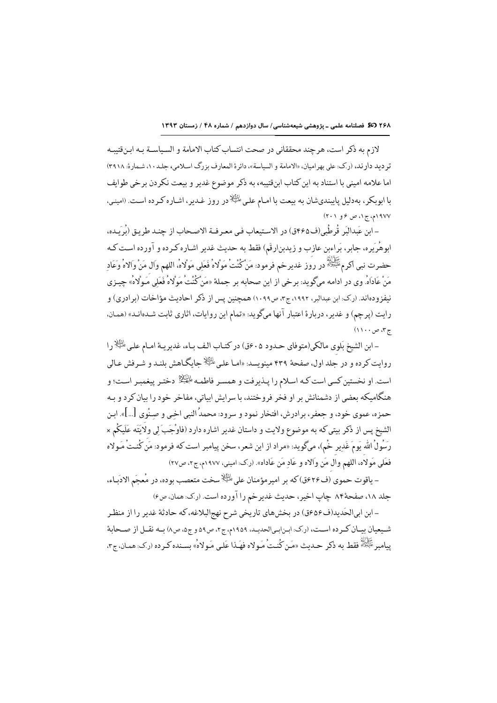لازم به ذكر است، هرچند محققاني در صحت انتساب كتاب الامامة و السياســة بـه ابـن قتيبـه تر ديد دارند، (رك: على بهراميان، «الامامة و السياسة»، دائرة المعارف بزرگ اسلامي، جلـد ١٠، شـمارة: ٣٩١٨) اما علامه اميني با استناد به اين كتاب ابن قتيبه، به ذكر موضوع غدير و بيعت نكردن بر خي طوايف با ابوبکر، بهدلیل پایبندیشان به بیعت با امـام علـیﷺدر روز غـدیر، اشـاره کـرده اسـت. (امینـی، ١٩٧٧م، ج١، ص ۶ و ٢٠١)

–ابن عَبداللّهِ قُرطُبي(ف٤٤٥ق) در الاستبعاب في معـرفـة الاصـحاب از چنـد طريق (بُرِ بـده، ابوهُرَيره، جابر، بَراءبن عازب و زيدبنارقَم) فقط به حديث غدير اشـاره كـرده و آورده اسـت كـه حضرت نبي اكرمﷺ در روز غديرخم فرمود: مَنْ كُنْتُ مَوْلاهُ فَعَلِي مَوْلاهُ، اللهم وَال مَنْ وَالاهُ وَعَادِ مَنْ عَادَاهُ. وي در ادامه ميگويد: برخي از اين صحابه بر جملة «مَنْ كُنْتْ مَوْلاهُ فَعَلَى مَـوْلاهُ» چيـزي نیفز ودهاند. (ر.ک: ابن عبدالبر، ۱۹۹۲، ج۳، ص۱۰۹۹) همچنین پس از ذکر احادیث مؤاخات (بر ادری) و رايت (يرچم) و غدير، دربارة اعتبار آنها ميگويد: «تمام اين روايات، اثاري ثابت شـدهانـد» (همـان، ج۴، ص ۱۱۰۰)

-ابن الشيخ بَلوي مالكي(متوفاي حـدود ٤٠٥ق) در كتـاب الـف بـاء، غديريـة امـام علـى الثِّلا را روایت کرده و در جلد اول، صفحهٔ ۴۳۹ مینویسد: «امـا علـیﷺ جایگـاهش بلنـد و شـرفش عـالی است. او نخستین کسی است کـه اسـلام را پـذیرفت و همسـر فاطمـه الجَنِّلاْ دختـر پیغمبـر اسـت؛ و هنگامیکه بعضی از دشمنانش بر او فخر فروختند، با سرایش ابیاتی، مفاخر خود را بیان کرد و بـه حمزه، عموي خود، و جعفر، برادرش، افتخار نمود و سرود: محمدُ النبي اخـي و صـنْوي […]». ابـن الشيخ پس از ذكر بيتي كه به موضوع ولايت و داستان غدير اشاره دارد (فاوْجَبَ لِي ولَايَتَه عَلَيكُم × رَسُولُ الله يَومَ غَديرِ حُمْ)، ميگويد: «مراد از اين شعر، سخن پيامبر است كه فرمود: مَن كُنتُ مَـولاه فعَلى مَولاه، اللهم والَّ مَن وَالاه و عَادِ مَن عَاداه». (ر.ک: امیني، ١٩٧٧م، ج٢، ص٢٧)

– ياقوت حموي (ف٢٢٠ق) كه بر امير مؤمنان على للتِّلاسخت متعصب بوده، در مُعجَم الادَياء، جلد ١٨، صفحهٔ٨۴ چاپ اخير، حديث غديرخم را آورده است. (رک: همان، ص۶)

- ابن ابیالحَدید(ف۶۵۶ق) در بخشهای تاریخی شرح نهجالبلاغه، که حادثهٔ غدیر را از منظر شیعیان بیـان کـرده اسـت، (رک: ابـنابـیالحدیـد، ١٩٥٩م، ج٢، ص٥٩ و ج٥، ص٨) بـه نقــل از صـحابة یبامبر ﷺ فقط به ذکر حـدث «مَن کُنتُ مَـولاه فهَـذا عَلـى مَـولاه»ُ، بِسـنده کـر ده (ر کِ: همـان، ج۳،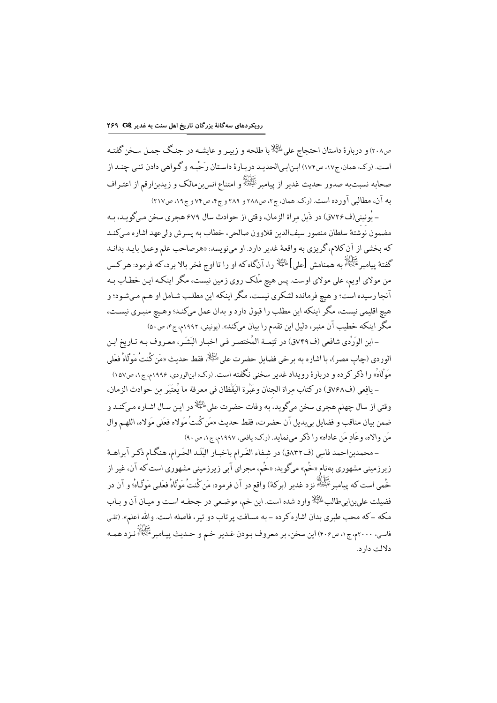ص۲۰۸) و در مارهٔ داستان احتحاج علی ﷺ ما طلحه و زیبر و عایشـه در حنـگ حمیل سـخن گفتـه است. (رک: همان، ج۱۷، ص۱۷۴) ابنابیالحدید دربارهٔ داستان رَحْبه و گـواهی دادن تنـی چنـد از صحابه نسبتبه صدور حديث غدير از پيامبرﷺ و امتناع انسبنِمالک و زيدبنِارقم از اعتـراف به آن، مطالبي آورده است. (رک: همان، ج۲، ص۲۸۸ و ۲۸۹ و ج۴، ص۷۴ و ج۱۹، ص۲۱۷)

– يُونيني(ف٢٤٧ق) در ذَبل مراة الزمان، وقتي از حوادث سال ٤٧٩ هجري سخن مي گويد، به مضمون نوشتهٔ سلطان منصور سيف\لدين قلاوون صالحي، خطاب به يسرش وليءهد اشاره مـيكنـد كه بخشي از آن كلام، گريزي به واقعهٔ غدير دارد. او مينويسد: «هرصاحب علم وعمل بايـد بدانـد گفتهٔ پیامبر ﷺ به همنامش [علی] ﷺ را، آنگاه که او را تا اوج فخر بالا برد، که فرمود: هر کس من مولای اویم، علی مولای اوست. پس هیچ مُلک روی زمین نیست، مگر اینکه این خطاب بـه آنجا رسیده است؛ و هیچ فرمانده لشکری نیست، مگر اینکه این مطلب شـامل او هـم مـيشـود؛ و هیچ اقلیمی نیست، مگر اینکه این مطلب را قبول دارد و بدان عمل میکنـد؛ وهـیچ منبـری نیسـت، مگر اینکه خطیب آن منبر، دلیل این تقدم را بیان میکند». (یونینی، ۱۹۹۲م، ج۴، ص۵۰)

- ابن الوَرْدي شافعي (ف٧٤٩ق) در تَتِمــة المُختصـر فـي اخبـار البَشَـر، معـروف بـه تـاريخ ابـن الوردي (چاپ مصر)، با اشاره به برخي فضايل حضرت على <sup>الظ</sup>ِّلا، فقط حديث «مَن كُنتُ مَوَلَّاهُ فعَلَى مَوْلَاهُ» را ذکر کرده و دربارهٔ رویداد غدیر سخنی نگفته است. (ر.ک: ابنالوردی، ۱۹۹۶م، ج۱، ص۱۵۷) – يافعي (ف٧٤٨ق) در كتاب مراة الجنان وعَبْرة اليَقْظان في معرفة ما يُعتَبَر من حوادث الزمان،

وقتي از سال چهلم هجري سخن ميگويد، به وفات حضرت على <sup>بلظٍلا</sup>در اين سال اشـاره مـي)كنـد و ضمن بيان مناقب و فضايل بيبديل آن حضرت، فقط حديث «مَن كُنتُ مَولاه فعَلى مَولاه، اللهـم وال مَن والاه، وعَاد مَن عاداه» را ذكر مىنمايد. (رك: يافعي، ١٩٩٧م، ج١، ص٩٠)

- محمدبناحمد فاسي (ف٨٣٢ق) در شِفاء الغَرام باخبـار البَلَـد الحَرام، هنگـام ذكـر آبراهـهٔ زیرزمینی مشهوری بهنام «خُم» میگوید: «خُم، مجرای آبی زیرزمینی مشهوری است که آن، غیر از .<br>خُمي است كه پيامبر ﷺ نزد غدير (بركة) واقع در آن فرمود: مَن كُنتُ مَوْلَاهُ فعَلـي مَوْلَـاهُ؛ و آن در فضیلت علیبنابیطالب ﷺ وارد شده است. این خم، موضعی در جحفـه اسـت و میـان آن و بـاب مکه –که محب طبري بدان اشاره کرده – به مسافت پر تاب دو تير ، فاصله است. والله اعلم». (تقي فاسي، ٢٠٠٠م،ج١، ص٤٠۶) اين سخن، بر معروف بـودن غـدير خـم و حـديث پيـامبر ﷺ نـزد همـه دلالت دار د.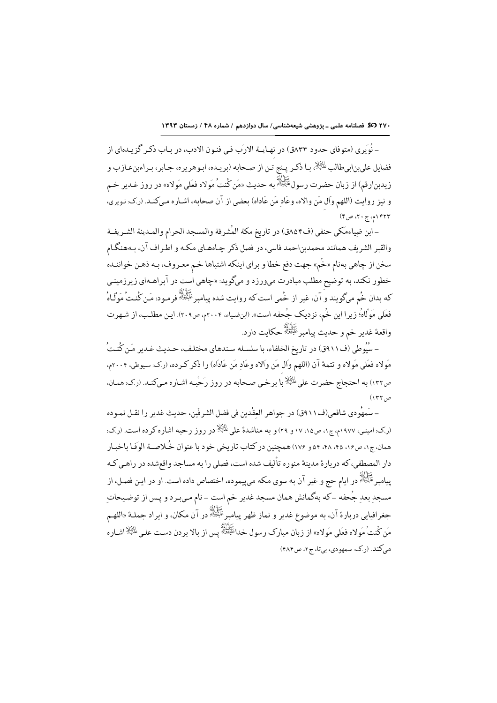٢٧٠ 30 فصلنامه علمى ـ پزوهشى شيعهشناسى/ سال دوازدهم / شماره ۴٨ / زمستان ١٣٩٣

– نُوِيري (متوفاي حدود ٨٣٣هَ) در نهـايــة الارَب فـي فنـون الادب، در بـاب ذكـر گزيـدهاي از فضايل علىبنابيطالب للظِّلخ بـا ذكـر يـنج تـن از صـحابه (بريـده، ابـوهريره، جـابر، بـراءبنءـازب و زيدبنارقم) از زبان حضرت رسول ﷺ به حديث «مَن كُنتُ مَولاه فعَلى مَولاه» در روز غـدير خـم و نيز روايت (اللهم وال مَن والاه، وعَاد مَن عَاداه) بعضي از آن صحابه، اشـاره مـىكنـد. (رك: نـويري، ۱۴۲۳م، ج۲۰، ص۴)

- ابن ضياءمَكي حنفي (ف٨٥٤ق) در تاريخ مكة المُشرفة والمسجد الحرام والمـدينة الشـريفـة والقبر الشريف همانند محمدبناحمد فاسي، در فصل ذكر چـاههـاي مكـه و اطـراف آن، بـههنگـام سخن از چاهي بهنام «خُم» جهت دفع خطا و براي اينكه اشتباها خـم معـروف، بـه ذهـن خواننـده خطور نکند، به توضیح مطلب مبادرت میورزد و میگوید: «چاهی است در آبراهـهای زیرزمینـی که بدان خُم میگویند و<sup>َ</sup> آن، غیر از خُمی است که روایت شده پیامبر ﷺ فرمـود: مَـن کُنـتُ مَوَلَـاهُ فعَلى مَوْلَاهُ؛ زيرا اين خُم، نزديک جُحفه است». (ابنِضياء، ٢٠٠۴م، ص٢٠٩). ايـن مطلب، از شـهرت واقعهٔ غدیر خم و حدیث پیامبر<sup>علیُولل</sup>هٔ حکایت دارد.

– سُيُوطى (ف٩١١ق) در تاريخ الخلفاء، با سلسـله سـندهاي مختلـف، حـديث غـدير مَـن كُنـتُ مَولاه فعَلى مَولاه و تتمهٔ آن (اللهم وَال مَن وَالاه وعَادِ مَن عَادَاه) را ذكر كـرده، (ر.ك. سيوطى، ٢٠٠۴م، ص١٣٢) به احتجاج حضرت على الثِّلا با برخي صحابه در روز رَحْبه اشـاره مـىكنـد. (رك: همـان،  $(155)$ 

– سَمهُودي شافعي(ف١١٩ق) در جواهر العقْدين في فضل الشرفَين، حديث غدير را نقـل نمـوده <sub>(د</sub>.ک: امینه)، ۱۹۷۷م، ج۱، ص۱۷، ۱۷ و ۲۹) و به مناشدهٔ علم <sup>بالث</sup>گا<sup>لا</sup> در روز رحیه اشاره کرده است. (ر.ک: همان،ج۱، ص۱۶، ۴۵، ۴۸، ۵۴ و ۱۷۶) همچنین در کتاب تاریخی خود با عنوان خُلاصـة الوَفـا باخبـار دار المصطفى، كه دربارهٔ مدينهٔ منوره تأليف شده است، فصلى را به مساجد واقعشده در راهـي كـه يچانه<br>پيامبر<sup>عَلِيُوْلُهُ</sup> در ايام حج و غير آن به سوى مكه مىپيموده، اختصاص داده است. او در ايـن فصـل، از مسجد بعد جُحفه -كه بهگمانش همان مسجد غدير خم است - نام مـي.بـرد و يـس از توضـيحات جغرافيايي دربارة آن، به موضوع غدير و نماز ظهر پيامبرﷺ در آن مكان، و ايراد جملــة «اللهــم مَن كُنتُ مَولاه فعَلى مَولاه» از زبان مبارك رسول خداءً يُخِلُّهُ پس از بالا بردن دست على عليه السلام<br>مَن كُنتُ مَولاه فعَلى مَولاه» از زبان مبارك رسول خداءً يُخِلُّهُ پس از بالا بردن دست على عليها عليه السّاره می کند. (ر.ک: سمهودي، بيتا، ج ۲، ص ۴۸۴)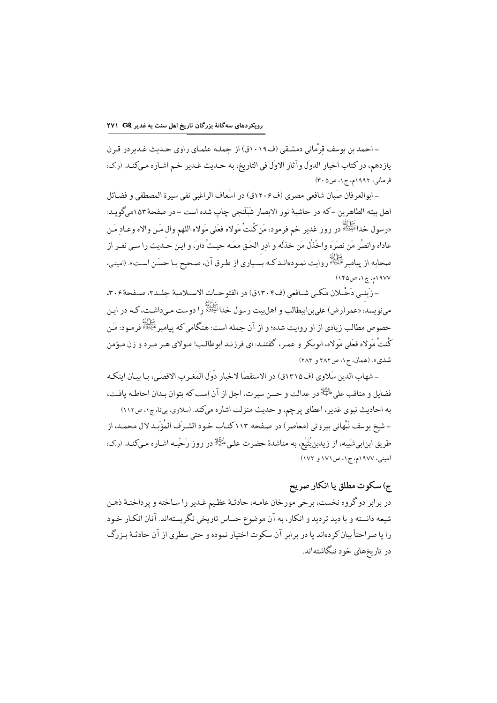–احمد بن بوسف قرْمانی دمشـقی (ف١٠١٩ق) از حملـه علمـای راوی حـدیث غـدیر در قـرن يازدهم، در كتاب اخبار الدولَ وآثار الاولَ في التاريخ، به حـديث غـدير خـم اشـاره مـيكنـد. (ركـ: قرماني، ۱۹۹۲م، ج ۱، ص ۲۰۵)

– ابوالعرفان صَبَان شافعي مصري (ف١٢٠۶ق) در اسْعاف الراغبي نفي سيرة المصطفى و فضـائل اهل بيته الطاهرين –كه در حاشية نور الابصار شَبَلَنجي چاپ شده است – در صفحهٔ ١٥٣ميگويـد: «رسول خداءَتَيْتُهُ در روز غدير خم فرمود: مَن كُنتُ مَولاه فعَلى مَولاه اللهم وال مَـن والاه وعـادِ مَـن عاداه وانصُر مَن نصَرَه واخْذُل مَن خذَلَه و ادر الحَق معَـه حيـثُ دارَ، و ايـن حـَديث را سـي نفـر از صحابه از پیامبر ﷺ روایت نمودهانـدکـه بسـیاری از طـرق آن، صـحیح یـا حسَـن اسـت». (امینـی، ۱۹۷۷م، ج۱، ص۱۴۵)

- زَينبي دَحْـلان مَكـي شـافعي (ف١٣٠٤ق) در الفتوحـات الاسـلامية جلـد٢، صـفحة٣٠٤، مینویسد: «عمر(رض) علیبنابیطالب و اهلبیت رسول خدائلپُولُه را دوست مـیداشـت، کـه در ایـن خصوص مطالب زیادی از او روایت شده؛ و از آن جمله است: هنگامی که پیامبر<sup>عَلِیُولِل</sup>ٌ فرمـود: مَـن كُنتُ مَولاه فعَلى مَولاه، ابوبكر و عمير، گفتنـد: اي فرزنـد ابوطالب! مـولاي هـر مـرد و زن مـؤمن شدي». (همان، ج۱، ص۲۸۲ و ۲۸۳)

- شهاب الدين سَلاوي (ف١٣١٥ق) در الاستقصَا لاخبار دُولَ المَغـرب الاقصَـي، بـا بيـان اينكـه فضايل و مناقب على <sup>طائِعُ</sup>لا در عدالت و حسن سيرت، اجل از آن است كه بتوان بـدان احاطـه يافـت، به احادیث نبوی غدیر، اعطای پرچم، و حدیث منزلت اشاره میکند. (سلاوی، بیتا، ج۱، ص۱۱۲) - شيخ يوسف نَبْهاني بيروتي (معاصر) در صفحه ١١٣ كتـاب خـود الشـرفَ المُؤَبِـد لآل محمـد، از طریق ابنابیشَیبه، از زیدبنیُثَیْع، به مناشدهٔ حضرت علی <sup>الثِی</sup>لا در روز رَحْبـه اشـاره مـیکنـد. (رک: امینی، ۱۹۷۷م، ج۱، ص۱۷۱ و ۱۷۲)

## ج) سکوت مطلق یا انکار صریح

در برابر دو گروه نخست، برخی مورخان عامـه، حادثـهٔ عظـیم غـدیر را سـاخته و پرداختـهٔ ذهـن شیعه دانسته و با دید تردید و انکار، به آن موضوع حساس تاریخی نگریستهاند. آنان انکار خود را یا صراحتاً بیان کردهاند یا در برابر آن سکوت اختیار نموده و حتی سطری از آن حادثـهٔ بـزرگ در تاریخهای خود ننگاشتهاند.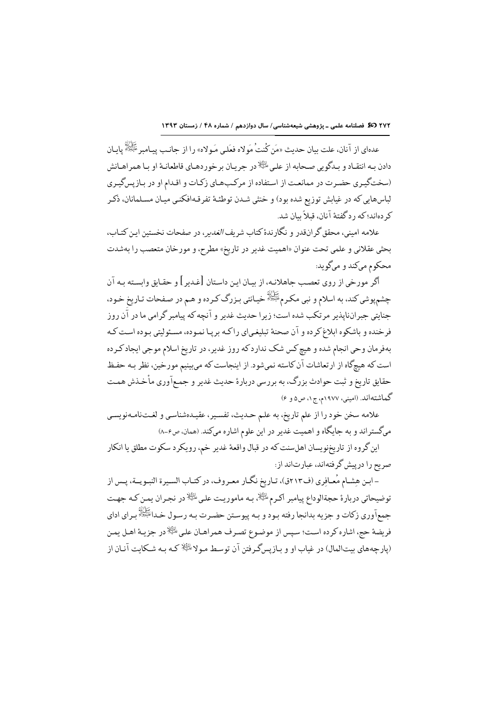٢٧٢ 30 فصلنامه علمی ـ پژوهشی شیعهشناسی/ سال دوازدهم / شماره ۴۸ / زمستان ١٣٩٣

عدهاي از آنان، علت بيان حديث «مَن كُنتُ مَولاه فعَلى مَـولاه» را از جانـب يبـامير ﷺ يامان دادن بـه انتقـاد و بـدگويي صـحابه از علـي <sup>الِئِيلا</sup>در جريـان برخوردهـاي قاطعانـهٔ او بـا همراهـانش (سختگیری حضرت در ممانعت از استفاده از مرکبهای زکات و اقدام او در بازپسگیری لباسهایی که در غیابش توزیع شده بود) و خنثی شـدن توطئـهٔ تفرقـهافکنـی میـان مسـلمانان، ذکـر کر دهاند؛که ر دگفتهٔ آنان، قبلاً بیان شد.

علامه امینی، محقق گر انقدر و نگارندهٔ کتاب شریف *الغدیر*، در صفحات نخستین این کتـاب، بحثي عقلاني و علمي تحت عنوان «اهميت غدير در تاريخ» مطرح، و مورخان متعصب را بهشدت محکوم ميکند و ميگويد:

أكر مورخي از روى تعصب جاهلانـه، از بيـان ايـن داسـتان [غـدير] و حقـايق وابسـته بـه آن چشمپوشي کند، به اسلام و نبي مکرمﷺ خيانتي بـزرگ کـرده و هـم در صـفحات تـاريخ خـود، حنایتی حیرانناپذیر مرتکب شده است؛ زیرا حدیث غدیر و آنچه که پیامبر گرامی ما در آن روز فرخنده و باشکوه ابلاغ کرده و آن صحنهٔ تبلیغیای راکـه بریـا نمـوده، مسـئولیتی بـوده اسـت کـه بهفرمان وحي انجام شده و هيچ كس شك ندارد كه روز غدير، در تاريخ اسلام موجى ايجاد كـرده است كه هيچگاه از ارتعاشات آن كاسته نمىشود. از اينجاست كه مىبينيم مورخين، نظر بـه حفظ حقایق تاریخ و ثبت حوادث بزرگ، به بررسی دربارهٔ حدیث غدیر و جمعآوری مأخذش همت گماشتهاند. (امینی، ۱۹۷۷م، ج۱، ص۵ و ۶)

علامه سخن خود را از علم تاريخ، به علـم حـديث، تفسـير، عقيـدهشناسـي و لغـتنامـهنويسـي میگستراند و به جایگاه و اهمیت غدیر در این علوم اشاره میکند. (همان، ص۶–۸)

این گروه از تاریخنویسان اهلسنت که در قبال واقعهٔ غدیر خم، رویکرد سکوت مطلق یا انکار صر يح را درپيش گر فتهاند، عبارتاند از:

- ابـن هِشـام مُعـافِري (ف٢١٣ق)، تـاريخ نگـار معـروف، در كتـاب السـيرة النبـويــة، پـس از توضيحاتي دربارة حجةالوداع پيامبر اكـرم<sup>الِطِ</sup>لا، بـه ماموريـت علـي <sup>الِطِّلا</sup>در نجـران يمـن كـه جهـت جمعآوري زكات و جزيه بدانجا رفته بـود و بـه پيوسـتن حضـرت بـه رسـول خـداﷺ بـراي اداي فريضة حج، اشاره كرده است؛ سپس از موضوع تصرف همراهـان علـى <sup>إلِي</sup>ِّلا در جزيـهٔ اهـل يمـن (پارچههای بیتالمال) در غیاب او و بـازیسگـرفتن آن توسـط مـولا $\mathbb{R}^{\mathbb{N}}$  کـه بـه شـکایت آنـان از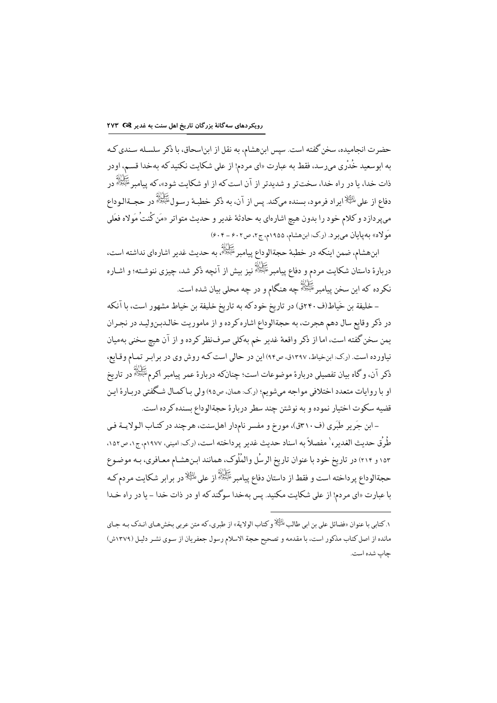حضرت انجامیده، سخن گفته است. سپس ابنهشام، به نقل از ابناسحاق، با ذکر سلسـله سـندي کـه به ابوسعید خُدْری می٫سد، فقط به عبارت «ای مردم! از علی شکایت نکنید که بهخدا قسـم، اودر ذات خدا، یا در راه خدا، سختتر و شدیدتر از آن است که از او شکایت شود»، که پیامبر <sup>عَلِيُولل</sup> در دفاع از على <sup>الظِّلا</sup> ايراد فرمود، بسنده مىكند. يس از آن، به ذكر خطبـهٔ رسـول<sup>ِ عَلِيَّةٍا،</sup> در حجــةالـوداع مىپردازد و كلام خود را بدون هيچ اشارهاى به حادثهٔ غدير و حديث متواتر «مَن كُنتُ مَولاه فعَلى مَولاه» به پایان می برد. (رک: ابن هشام، ۱۹۵۵م، ج۲، ص۶۰۲ – ۶۰۴)

ابنهشام، ضمن اینکه در خطبهٔ حجةالوداع پیامبر علیهالله به حدیث غدیر اشارهای نداشته است،<br>. دربارهٔ داستان شکایت مردم و دفاع پیامبرِ ﷺ نیز بیش از آنچه ذکر شد، چیزی ننوشـته؛ و اشـاره نکرده که این سخن پیامبر ﷺ چه هنگام و در چه محلی بیان شده است.

– خليفة بن خَياط(ف ٢٤٠ق) در تاريخ خودكه به تاريخ خليفة بن خياط مشهور است، با آنكه در ذکر وقایع سال دهم هجرت، به حجةالوداع اشاره کرده و از ماموریت خالدبنولید در نجران يمن سخن گفته است، اما از ذكر واقعهٔ غدير خم بهكلي صرفنظر كرده و از آن هيچ سخني بهميان نیاورده است. (ر.ک: ابنخیاط، ۱۳۹۷ق، ص۹۴) این در حالی است کـه روش وی در برابـر تمـام وقـایع، ذکر آن، و گاه بیان تفصیلی دربارهٔ موضوعات است؛ چنانکه دربارهٔ عمر پیامبر اکرمﷺ در تاریخ او با روايات متعدد اختلافي مواجه ميشويم؛ (رك: همان، ص٩٥) ولي بـاكمـال شـكفتي دربـارة ايـن .<br>قضیه سکوت اختیار نموده و به نوشتن چند سطر دربارهٔ حجةالوداع بسنده کرده است.

- ابن جَرير طَبَري (ف٢١٠ق)، مورخ و مفسر نامدار اهلسنت، هرچند در كتـاب الـولايــة فـي طُرُق حديث الغدير، ` مفصلاً به اسناد حديث غدير يرداخته است، (رك: اميني، ١٩٧٧م، ج١، ص١٥٢، ۱۵۳ و ۲۱۴) در تاریخ خود با عنوان تاریخ الرسُل والمُلُوک، همانند ابـنهشـام معـافري، بـه موضـوع حجةالوداع پرداخته است و فقط از داستان دفاع پیامبرﷺ از علی ﷺ در برابر شکایت مردم *ک*ه با عبارت «اي مردم! از على شكايت مكنيد. پس بهخدا سوگندكه او در ذات خدا - يا در راه خـدا

۱. کتابی با عنوان «فضائل علی بن ابی طالب <sup>پالِئ</sup>ِلا و کتاب الولایة» از طبری، که متن عربی بخشهـای انـدک بـه جـای مانده از اصل کتاب مذکور است، با مقدمه و تصحیح حجة الاسلام رسول جعفریان از سوی نشر دلیل (۱۳۷۹ش) حاب شده است.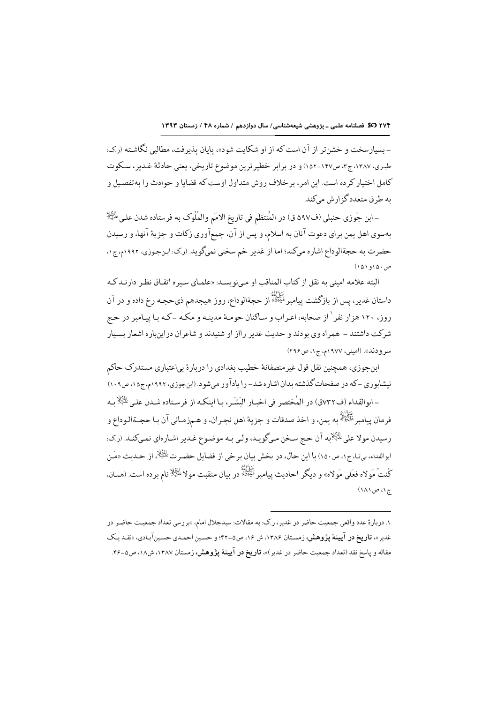- بسیارسخت و خشنتر از آن است که از او شکایت شود»، پایان پذیرفت، مطالبی نگاشته (رک: طبري، ١٣٨٧، ج٣، ص١٤٧-١٥٢) و در برابر خطيرترين موضوع تاريخي، يعني حادثة غـدير، سـكوت کامل اختیار کر ده است. این امر ، بر خلاف روش متداول اوست که قضایا و حوادث را به تفصیل و به ط ق متعددگز انش مرکند.

– ابن جَوزي حنبلي (ف٥٩٧ ق) در المُنتظَم في تاريخِ الامَم والمُلُوك به فرستاده شدن على الثِّلِا بهسوي اهل يمن براي دعوت آنان به اسلام، و يس از آن، جمعآوري زكات و جزية آنها، و رسيدن حضرت به حجةالوداع اشاره مىكند؛ اما از غدير خم سخنى نمىگويد. (رک: ابنجوزى، ١٩٩٢م، ج١، ص۱۵۰و ۱۵۱)

البته علامه اميني به نقل از كتاب المناقب او مـيiو يسـد: «علمـاي سـير ه اتفـاق نظـر دارنـد كـه داستان غدیر، پس از بازگشت پیامبر ﷺ از حجةالوداع، روز هیجدهم ذیحجـه رخ داده و در آن روز، ١٢٠ هزار نفر ٰ از صحابه، اعـراب و سـاكنان حومـهٔ مدينـه و مكـه ــكـه بـا ييـامبر در حـج شرکت داشتند – همراه وی بودند و حدیث غدیر رااز او شنیدند و شاعران در این باره اشعار بسیار سر ودند». (اميني، ١٩٧٧م، ج١، ص٢٩۶)

ابنجوزي، همچنین نقل قول غیرمنصفانهٔ خطیب بغدادی را دربارهٔ بیاعتباری مستدرک حاکم نیشابوری –که در صفحات گذشته بدان اشاره شد– را یادآور میشود. (ابنجوزی، ۱۹۹۲م، ج۱۵، ص۱۰۹)

-ابوالفداء (ف٧٣٢ق) در المُختصر في اخبـار البَشَـر، بـا اينكـه از فرسـتاده شـدن علـي الثِّلا بـه فر مان پيامبر ﷺ<br>فر مان پيامبر ﷺ به يمن، و اخذ صدقات و جزيۂ اهل نجـران، و هـمزمـاني آن بـا حجــةالـوداع و رسيدن مولا على <sup>الظ</sup>ِلْ<sup>د</sup>ِيه آن حـج سـخن مـيگويـد، ولـي بـه موضـوع غـدير اشـارەاي نمـيكنـد. (رک: ابوالفداء، بي¤ا، ج١، ص١٥٠) با اين حال، در بخش بيان بر خي از فضايل حضـر تﷺ، از حـديث «مَـن كُنتُ مَولاه فعَلى مَولاه» و ديگر احاديث پيامبرﷺ در بيان منقبت مولا<sup>يلنظٍ</sup>ذ نام برده است. (همـان، ج ۱، ص ۱۸۱)

۱. دربارهٔ عدد واقعی جمعیت حاضر در غدیر ، ر.ک: به مقالات: سیدجلال امام، «بر رسی تعداد جمعیت حاضر در غدیر»، **تاریخ در آیینهٔ پژوهش،** زمستان ۱۳۸۶، ش ۱۶، ص۵-۴۲؛ و حسین احمدی حسینآبادی، «نقـد یـک مقاله و ياسخ نقد (تعداد جمعيت حاضر در غدير)»، **تاريخ در آيينهٔ پژوهش،** زمستان ١٣٨٧، ش١٨، ص٥-۴۶.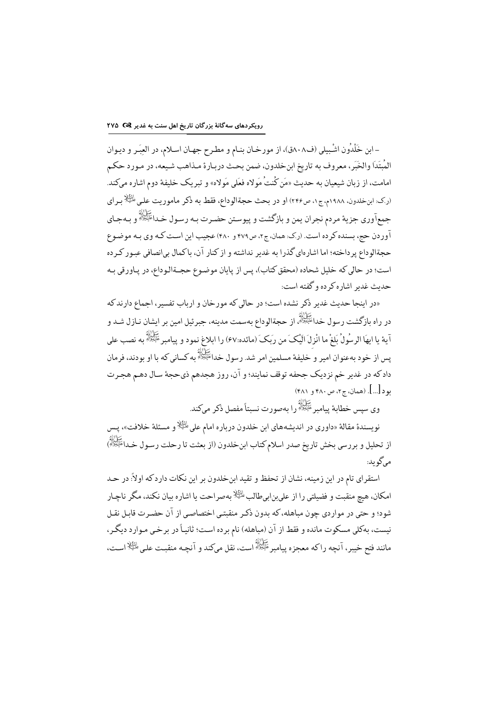- ابن خَلْدُون اشْبِيلي (ف٨٠٨ق)، از مورخـان بنـام و مطـرح جهـان اسـلام، در العِبَـر و ديـوان المُبتَدَا والخَبَر، معروف به تاريخ ابنخلدون، ضمن بحث دربـارة مـذاهب شـيعه، در مـورد حكـم امامت، از زبان شیعیان به حدیث «مَن كُنتُ مَولاه فعَلى مَولاه» و تبریک خلیفهٔ دوم اشاره مىکند. (رک: ابنخلدون، ۱۹۸۸م،ج۱، ص۲۴۶) او در بحث حجةالوداع، فقط به ذکر ماموریت علی الظِّلاِّ بـرای جمعآوري جزية مردم نجران يمن و بازگشت و پيوستن حضرت بـه رسـول خـدا<sup>عَلِيُوْلَه</sup>ُ و بـهجـاي ۔<br>آور دن حج، بسندہ کر دہ است. (ر.ک: همان، ج۲، ص۴۷۹ و ۴۸۰) عجیب این است کـه وی بـه موضـوع حجةالوداع پرداخته؛ اما اشارهاي گذرا به غدير نداشته و از كنار آن، باكمال بيانصافي عبور كرده است؛ در حالي كه خليل شحاده (محقق كتاب)، پس از پايان موضوع حجــةالـوداع، در پـاورقي بـه حديث غدير اشاره كرده و گفته است:

«در اینجا حدیث غدیر ذکر نشده است؛ در حالی که مورخان و ارباب تفسیر، اجماع دارند که در راه بازگشت رسول خدا<sup>علِیَ</sup>نڈُ از حجةالوداع بهسمت مدینه، جبرئیل امین بر ایشان نـازل شـد و آية يا ايهَا الرسُولُ بَلغْ ما انْزِلَ الَيْكَ من رَبِكَ (مائده:۶۷) را ابلاغ نمود و پيامبرعَتِيْرًا أو منصب على يس از خود به عنوان امير و ُخليفهٔ مسلمين امر شد. رسول خداﷺ به كساني كه با او بودند، فرمان دادکه در غدیر خم نزدیک جحفه توقف نمایند؛ و آن، روز هجدهم ذيحجهٔ سـال دهـم هجـرت بو د [...]. (همان، ج۲، ص ۴۸۰ و ۴۸۱)

ڪَرَاڻُهُ<br>وي سيس خطابة بيامبر عَلَيْعِللهُ را بهصورت نسبتاً مفصل ذکر مي کند.

نويسندهٔ مقالهٔ «داوري در انديشههاي ابن خلدون درباره امام على <sup>إلث</sup>ِلا و مسئلهٔ خلافت»، پس از تحلیل و بررسی بخش تاریخ صدر اسلام کتاب ابنخلدون (از بعثت تا رحلت رسـول خـداﷺ) می گو بد:

استقرای تام در این زمینه، نشان از تحفظ و تقید ابنخلدون بر این نکات داردکه اولاً: در حـد امکان، هیچ منقبت و فضیلتی را از علی بن ابی طالب <sup>طلِق</sup>لاً به صر احت یا اشاره بیان نکند، مگر ناچـار شود؛ و حتی در مواردی چون مباهله، که بدون ذکـر منقبتـی اختصاصـی از آن حضـرت قابـل نقـل نیست، بهکلی مسکوت مانده و فقط از آن (مباهله) نام برده است؛ ثانیـاً در برخـی مـوارد دیگـر، مانند فتح خيبر، أنچه راكه معجزه پيامبر ﷺ است، نقل مىكند و أنچـه منقبـت علـى ﷺ اسـت،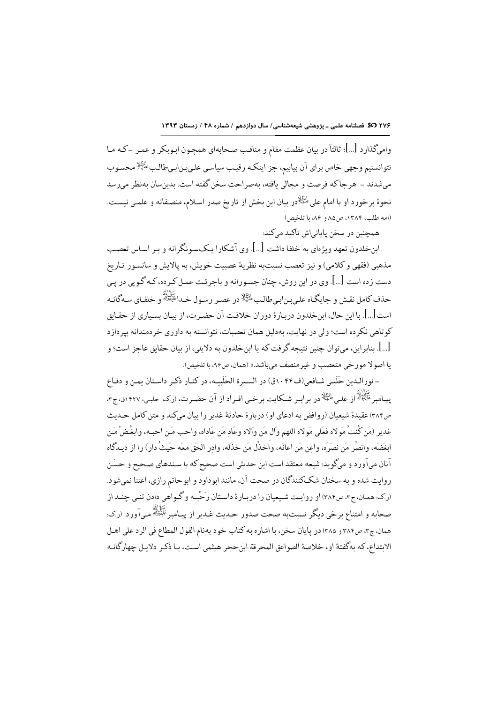واميگذارد […]؛ ثالثاً در بيان عظمت مقام و مناقب صحابهاي همچـون ابـوبكر و عمـر -كـه مـا نتوانستیم وجهی خاص برای آن بیابیم، جز اینکه رقیب سیاسی علیبنابیطالب<sup>الظِلا</sup>هحسوب میشدند – هرجاكه فرصت و مجالی یافته، بهصراحت سخن گفته است. بدین سان بهنظر می رسد نحوة برخورد او با امام على الثِّلِادر بيان اين بخش از تاريخ صدر اسلام، منصفانه و علمي نيست. (امه طلب، ۱۳۸۴، ص۸۵ و ۸۶، با تلخیص)

همچنین در سخن پایانی|ش تاکید میکند:

ابنخلدون تعهد ویژهای به خلفا داشت […]. وی آشکارا یکسونگرانه و بـر اسـاس تعصـب مذهبي (فقهي و كلامي) و نيز تعصب نسبت به نظريهٔ عصيت خويش، به پالايش و سانسـور تـاريخ دست زده است […]. وي در اين روش، چنان جسـورانه و باجرئـت عمـل كـرده، كـه گـويي در يـي حذف كامل نقــش و جايگــاه علــي.بـنابــيطالـب <sup>يللئِيلا</sup>در عصـر رســول خــدائَيْتِتْلَة و خلفـاي ســهگانــه است[…]. با اين حال، ابنخلدون دربـارة دوران خلافت آن حضـرت، از بيـان بسـياري از حقـابق کو تاهي نکر ده است؛ ولي در نهايت، بهدليل همان تعصبات، نتوانسته به داوري خر دمندانه بير دازد […]. بنابر ابن، مي توان چنين نتيجه گر فت كه با ابن خلدون به دلايلي، از بيان حقايق عاجز است؛ و با اصولا مورخي متعصب وغير منصف مے باشد.» (همان، ص۹۶، با تلخص).

- نورالـدین حَلَبی شـافعی(ف١٠۴۴ق) در السـبرة الحَلَبـیه، در کنـار ذکـر داسـتان بمـن و دفـاع كَانَ اللَّهُ لِمَ اللَّهُ إِنَّ عَلَيْهِ الظَّلَادِرِ بِرابِـرِ شَـكَايت بِرْخَـي افـراد از آن حضـرت، (رك: حلبـي، ١٤٢٧ق، ج٣، ص٣٨۴) عقيدة شيعيان (روافض به ادعاي او) دربارة حادثة غدير را بيان ميكند و متن كامل حـديث غدير (مَن كُنتُ مَولاه فعَلى مَولاه اللهم وَال مَن والاه وعَادِ مَن عَاداه، واحب مَـن احبـه، وابغُـضْ مَـن ابغَضَه، وانصُر مَن نصَرَه، واعن مَن اعانَه، واَخذُل مَن خذَله، وادر الحَق معَه حَيثُ دار) را از ديـدگاه .<br>آنان ميآورد و ميگويد: شيعه معتقد است اين حديثي است صحيح كه با سـندهاي صـحيح و حسَن روایت شده و به سخنان شککنندگان در صحت آن، مانند ابوداود و ابوحاتم رازی، اعتنا نمیشود. (ر.ک: همان، ج۳، ص۳۸۴) او روایـت شـیعیان را دربـارهٔ داسـتان رَحْبـه و گـواهي دادن تنـي چنـد از صحابه و امتناع برخی دیگر نسبتبه صحت صدور حـدیث غـدیر از پیـامبرﷺ مـی|ورد. (رک: همان، ج٣، ص٣٨۴ و ٣٨٥) در يايان سخن، با اشاره به كتاب خود بهنام القول المطاع في الرد على اهـل .<br>الابتداع، كه بهگفتهٔ او، خلاصهٔ الصواعق المحرقة ابن حجر هیثمی است، بـا ذكـر دلايـل چهارگانـه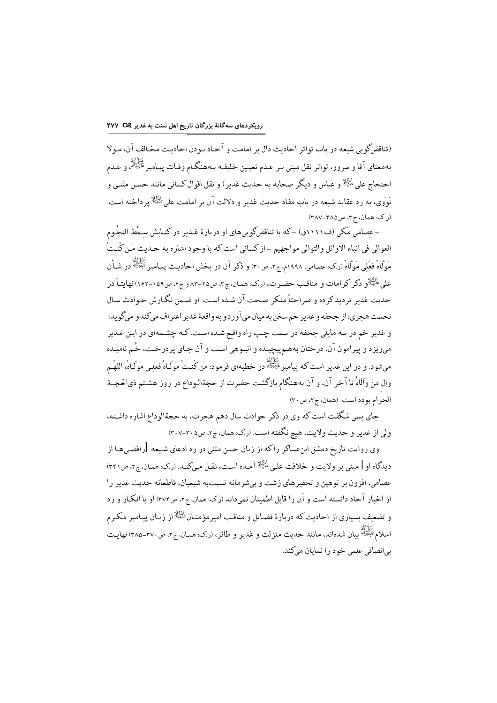(تناقض گويي شيعه در ياب تواتر احاديث دال بر امامت و آجاد بودن احاديث مخيالف آن، مـولا بهمعناي آقا و سرور، تواتر نقل مبنى بـر عـدم تعيـين خليفـه بـههنگـام وفـات پيـامبر ﷺ، و عـدم احتحاج على ﷺ و عباس و ديگر صحابه به حديث غدير ) و نقل اقوال كساني مانند حسن مثنبي و نَوَوِي، به رد عقايد شيعه در باب مفاد حديث غدير و دلالت آن بر امامت على الطِّلا پرداخته است. (ر.ک: همان، ج٣، ص٣٨٥-٣٨٧)

- عصامی مَکی (ف١١١١ق) –که با تناقضگوییهای او دربارهٔ غـدیر در کتـابش سـمْط النجُـوم العَوالي في انباء الاوائل والتوالي مواجهيم – از كساني است كه با وجود اشاره به حـديث مَـن كُنـتُ <sup>/</sup> مَوْلَاهُ فعَلِي مَوْلَاهُ (رک: عصامی، ۱۹۹۸م، ج۲، ص۳۰) و ذکر آن در بخش احادیث پیامبرﷺ در شـأن علي الظِّلْا و ذكر كرامات و مناقب حضرت، (رك: همان، ج٣، ص٢٥-٨٣ و ج۴، ص١٥٩-١٠٢) نهاىتـأ در حديث غدير ترديد كرده و صراحتاً منكر صحت آن شـده اسـت. او ضـمن نگـارش حـوادث سـال نخست هجري،از جحفه و غدير خم سخن به ميان مي آوردو به واقعهٔ غدير اعتراف ميكندو ميگويد: و غدیر خم در سه مایلی جحفه در سمت چپ راه واقع شـده اسـت، کـه چشـمهای در ایـن غـدیر میریزد و پیرامون آن، درختان بههمپیچیده و انبوهی است و آن جـای پردرخـت، خُـم نامیـده مىشود. و در اين غدير است كه پيامبر ﷺ در خطبهاى فرمود: مَن كُنتْ مَوَلّـاهُ فعَلـى مَوَلّـاهُ، اللهُـم وال من واَلَاهُ تا آخر آن، و آن بههنگام بازگشت حضرت از حجةالـوداع در روز هشـتم ذيالحجـة الحرام بوده است. (همان، ج٢، ص ٣٠)

جای بسی شگفت است که وی در ذکر حوادث سال دهم هجرت، به حجةالوداع اشاره داشته، ولي از غدير و حديث ولايت، هيچ نگفته است. (رک: همان، جr، ص٢٠٥-٣٠٧)

وی روایت تاریخ دمشق ابنءساکر راکه از زبان حسن مثنی در رد ادعای شـیعه [رافضـیهـا از دیدگاه او ] مبنی بر ولایت و خلافت علی ﷺ آمیده است، نقبل می کنید. (رک: همان، ج۲، ص۳۴۱) عصامی، افزون بر توهین و تحقیرهای زشت و بی شرمانه نسبت به شیعیان، قاطعانه حدیث غدیر را از اخبار آحاد دانسته است و آن را قابل اطمینان نمیداند (ر.ک. همان، ج۲، ص۳۷۴) او با انکار و رد و تضعیف بسیاری از احادیث که دربارهٔ فضایل و مناقب امیرمؤمنـان $\mathbb{R}^{\mathbb{N}}$ از زبـان پیـامبر مکـرم سلام عَلَيْهِ اللهُ<br>اسلام عَلَيْهِ اللهِ سان شدهاند، مانند حديث منزلت و غدير و طائر ، (رک: همان، ج۲، ص٣٧٠-٣٨٥) نهايت بي انصافي علمي خود را نمايان ميكند.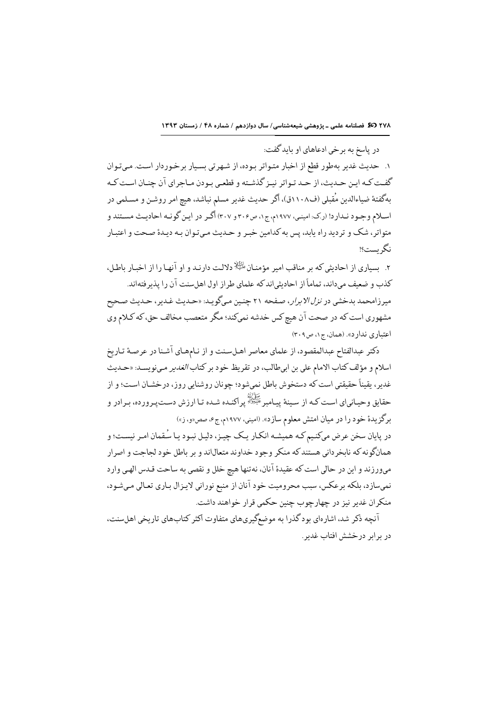در پاسخ به برخي ادعاهاي او بايدگفت:

۱. حدیث غدیر بهطور قطع از اخبار متواتر بوده، از شهرتی بسیار برخوردار است. میتوان گفت كـه ايـن حـديث، از حـد تـواتر نيـز گذشـته و قطعـي بـودن مـاجراي آن چنـان اسـت كـه بهگفتهٔ ضیاءالدین مُقبلی (ف۱۱۰۸ق)، اگر حدیث غدیر مسلم نباشد، هیچ امر روشـن و مسـلمی در اسلام وجـود نـدارد! (ر.ک: امینـی، ۱۹۷۷م، ج۱، ص۳۰۶ و ۳۰۷) اگـر در ایـن گونـه احادیـث مسـتند و متواتر، شک و تردید راه پابد، پس به کدامین خبـر و حـدیث مـیتـوان بـه دیـدهٔ صـحت و اعتبـار نگر ىست؟!

۲. پساری از احادیثی که بر مناقب امیر مؤمنـان $\mathbb{H}$  دلالـت دارنـد و او آنهـا را از اخبـار باطـل، كذب و ضعيف مىداند، تماماً از احاديثي|ندكه علماي طراز اول اهلسنت آن را يذيرفته|ند. میرزامحمد بدخشی در *نزل الابرار، ص*فحه ۲۱ چنین میگوید: «حدیث غدیر، حدیث صحیح مشهوري است كه در صحت آن هيچ كس خدشه نمىكند؛ مگر متعصب مخالف حق، كه كـلام وي اعتباری ندارد». (همان، ج۱، ص۳۰۹)

دكتر عبدالفتاح عبدالمقصود، از علماي معاصر اهـلسـنت و از نـامهـاي آشـنا در عرصـهٔ تـاريخ اسلام و مؤلف كتاب الامام على بن ابىطالب، در تقريظ خود بر كتاب *الغدير* مى نويسـد: «حـديث غدیر، یقیناً حقیقتی است که دستخوش باطل نمیشود؛ چونان روشنایی روز، درخشـان اسـت؛ و از حقایق وحیـانیای اسـت کـه از سـینهٔ پیـامبرﷺ پراکنـده شـده تـا ارزش دسـتپـرورده، بـرادر و برگزیدهٔ خود را در میان امتش معلوم سازد». (امینی، ۱۹۷۷م، ج¢، صص«و، ز»)

در پایان سخن عرض میکنیم کـه همیشـه انکـار یـک چیـز، دلیـل نبـود یـا سُـقمان امـر نیسـت؛ و همانگونه که نابخرداني هستند که منکر وجود خداوند متعال\ند و بر باطل خود لجاجت و اصرار مىورزند و اين در حالي است كه عقيدة آنان، نهتنها هيچ خلل و نقصي به ساحت قـدس الهـي وارد نمیسازد، بلکه برعکس، سبب محرومیت خود آنان از منبع نورانی لایـزال بـاری تعـالی مـیشـود، منكران غدير نيز در چهارچوب چنين حكمي قرار خواهند داشت.

آنچه ذکر شد، اشارهای بود گذرا به موضعگیریهای متفاوت اکثر کتابهای تاریخی اهلسنت، در برابر درخشش افتاب غدیر.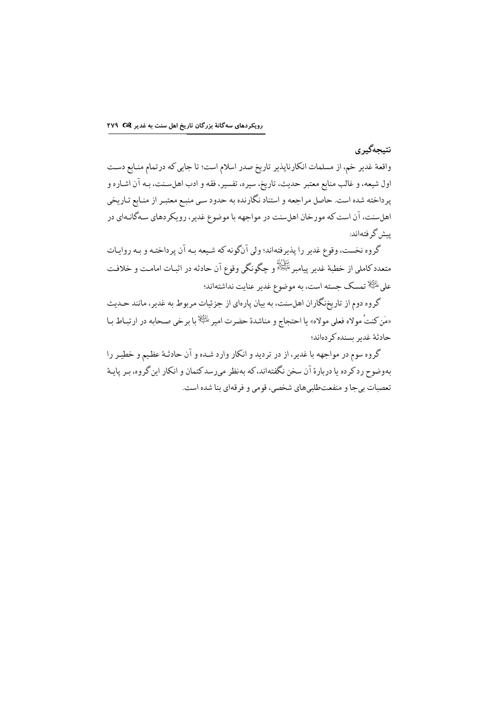### نتيجەگير ي

واقعهٔ غدیر خم، از مسلمات انکارناپذیر تاریخ صدر اسلام است؛ تا جایی که درتمام منـابع دسـت اول شیعه، و غالب منابع معتبر حدیث، تاریخ، سیره، تفسیر، فقه و ادب اهلسـنت، بـه آن اشـاره و پرداخته شده است. حاصل مراجعه و استناد نگارنده به حدود سي منبـع معتبـر از منـابع تـاريخي اهلسنت، آن است که مورخان اهلسنت در مواجهه با موضوع غدیر، رویکردهای سـهگانـهای در ىىش گوفتەاند:

گروه نخست، وقوع غدیر را پذیرفتهاند؛ ولی آنگونه که شیعه بـه آن پرداختـه و بـه روایـات متعددکاملی از خطبهٔ غدیر پیامبرﷺ و چگونگی وقوع آن حادثه در اثبـات امامـت و خلافـت على الثِّلا تمسك جسته است، به موضوع غدير عنايت نداشتهاند؛

گروه دوم از تاریخنگاران اهلسنت، به بیان پارهای از جزئیات مربوط به غدیر، مانند حـدیث «مَن كنتُ مولاه فعلى مولاه» يا احتجاج و مناشدة حضرت امير <sup>الظِ</sup>لا با برخي صحابه در ارتبـاط بـا حادثة غدير بسنده كردهاند؛

گروه سوم در مواجهه با غدیر، از در تردید و انکار وارد شـده و آن حادثـهٔ عظیم و خطیـر را بهوضوح رد کر ده یا دربارهٔ آن سخن نگفتهاند، که بهنظر می رسد کتمان و انکار این گروه، بـر پایـهٔ تعصبات بيجا و منفعتطلبيهاي شخصي، قومي و فرقهاي بنا شده است.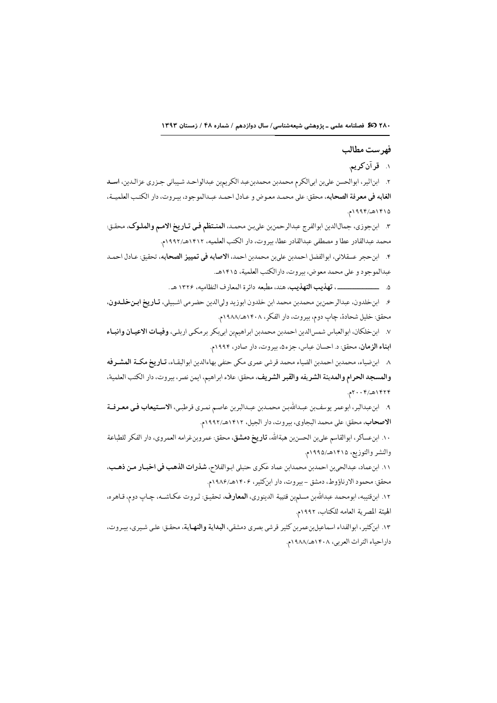## فهر ست مطالب

۱. قرآن کریم.

٢. ابناثير، ابوالحسن علىبن ابيالكرم محمدبن محمدبنعبد الكريمبن عبدالواحد شيباني جـزري عزالـدين، اسـد الغابه في معرفة الصحابه، محقق: على محمد معوض و عـادل احمـد عبـدالموجود، بيـروت، دار الكتـب العلميــة، ۱۴۱۵هه/۱۹۹۴م.

٣. ابنجوزي، جمالالدين ابوالفرج عبدالرحمنبن علىبن محمد، المنتظم في تـاريخ الامـم والملـوك، محقـق: محمد عبدالقادر عطا و مصطفى عبدالقادر عطا، بيروت، دار الكتب العلميه، ١٤١٢هـ/١٩٩٢م.

۴. ابن حجر عسقلاني، ابوالفضل احمدبن علي بن محمدبن احمد، الاصابه في تمييز الصحابه، تحقيق: عـادل احمـد عبدالموجود و على محمد معوض، بيروت، دارالكتب العلمية، ١٤١٥هـ.

۶. ابن خلدون، عبدالرحمن بن محمدبن محمد ابن خلدون ابوزيد وليالدين حضرمي اشبيلي، **تـاريخ ابـن خلـدون**، محقق: خليل شحادة، چاپ دوم، بيروت، دار الفكر، ١۴٠٨هـ/١٩٨٨م.

٧. ابن خلكان، ابوالعباس شمس الدين احمدبن محمدبن ابراهيمبن ابي بكر برمكي اربلي، **وفيـات الاعيـان وانبـاء** ابناء الزمان، محقق: د. احسان عباس، جزء٥، بيروت، دار صادر، ١٩٩۴م.

٨. ابن ضياء، محمدبن احمدبن الضياء محمد قرشي عمري مكي حنفي بهاءالدين ابوالبقـاء، **تـاريخ م**كــة **المشــرفه** والمسجد الحرام والمدينة الشريفه والقبر الشريف، محقق: علاء ابراهيم، ايمن نصر، بيروت، دار الكتب العلمية، ۱۴۲۴هه/۲۰۰۴م.

٩. ابنءبدالبر، ابوعمر يوسفبن عبداللهبن محمدبن عبدالبربن عاصم نمري قرطبي، الاستيعاب فيي معرفة الاصحاب، محقق: على محمد البجاوي، بيروت، دار الجيل، ١٤١٢هـ/١٩٩٢م.

١٠. ابنءساكر، ابوالقاسم علىبن الحسنبن هبةالله، **تاريخ دمشق**، محقق: عمروبنغرامه العمروي، دار الفكر للطباعة والنشر والتوزيع، ۱۴۱۵هـ/۱۹۹۵م.

١١. ابنءماد، عبدالحي بن احمدبن محمدابن عماد عَكرى حنبلي ابوالفلاح، شذرات الذهب في اخبـار مـن ذهـب، محقق: محمود الارناؤوط، دمشق -بيروت، دار ابن كثير، ١٤٠۶هـ/١٩٨۶م.

١٢. ابنقتيبه، ابومحمد عبداللهبن مسلمبن قتيبة الدينوري، ا**لمعارف**، تحقيق: ثـروت عكـاشــه، چـاپ دوم، قـاهره، الهيئة المصرية العامه للكتاب، ١٩٩٢م.

١٣. ابنكثير، ابوالفداء اسماعيلبنعمربن كثير قرشي بصرى دمشقي، البداية والنهـاية، محقـق: علـي شـيري، بيـروت، داراحياء التراث العربي، ١٤٠٨هـ/١٩٨٨م.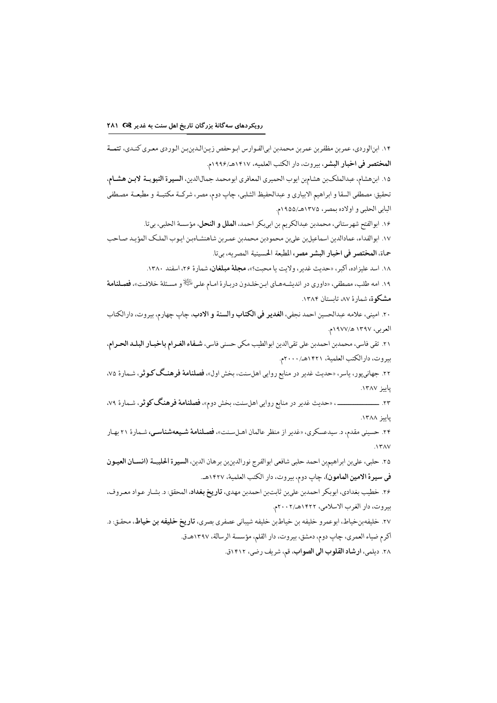١۴. ابنالوردي، عمربن مظفربن عمربن محمدبن ابيالفـوارس ابـوحفص زيـنالـدينبـن الـوردي معـري كنـدي، تتمــة المختصر في اخبار البشر، بيروت، دار الكتب العلميه، ١٤١٧هـ/١٩٩۶م.

١٥. ابن هشام، عبدالملكبن هشامبن ايوب الحميري المعافري ابومحمد جمال الدين، السيرة النبويــة لابـن هشـام، تحقيق مصطفى السقا و ابراهيم الابياري و عبدالحفيظ الشلبي، چاپ دوم، مصر، شركــة مكتبــة و مطبعــة مصـطفى البابي الحلبي و اولاده بمصر، ١٣٧٥هـ/١٩٥٥م.

١۶. ابوالفتح شهرستاني، محمدبن عبدالكريم بن ابي بكر احمد، الملل و النحل، مؤسسة الحلبي، بي تا.

١٧. ابوالفداء، عمادالدين اسماعيلبن علىبن محمودبن محمدبن عمـربن شاهنشـاهبـن ايـوب الملـك المؤيـد صـاحب حماة، المختصر في اخبار البشر مصر، المطبعة الحسينية المصريه، بي تا.

۱۸. اسد علیزاده، اکبر، «حدیث غدیر، ولایت یا محبت؟»، مجلهٔ مبلغان، شمارهٔ ۲۶، اسفند ۱۳۸۰.

۱۹. امه طلب، مصطفى، «داوري در انديشـههـاي ابـنخلـدون دربـارة امـام علـى <sup>إيجا</sup>لاٍ و مسـئلة خلافـت»، فصـ**لنامة** مشکوة، شمارة ۸۷، تابستان ۱۳۸۴.

٢٠. اميني، علامه عبدالحسين احمد نجفي، الغدير في الكتاب والسنة و الادب، چاپ چهارم، بيروت، دارالكتاب العربي، ١٣٩٧ هـ/١٩٧٧م.

٢١. تقى فاسى، محمدبن احمدبن على تقىالدين ابوالطيب مكى حسنى فاسى، شـفاء الغـرام باخبـار البلـد الحـرام، بيروت، دارالكتب العلمية، ١٤٢١هـ/٢٠٠٠م.

۰۲. جهانیپور، یاسر، «حدیث غدیر در منابع روایی اهلسنت، بخش اول»، ف**صلنامهٔ فرهنگ کـوثر**، شـمارهٔ ۷۵، پاييز ١٣٨٧.

\_\_، «حدیث غدیر در منابع روایی اهلسنت، بخش دوم»، فصلنامهٔ فرهنگ کوثر، شـمارهٔ ۷۹،  $-11$ ياييز ١٣٨٨.

۲۴. حسینی مقدم، د. سیدعسکری، «غدیر از منظر عالمان اهـلسـنت»، فصـلنامهٔ شـیعهشناسـی، شـمارهٔ ۲۱ بهـار  $\Lambda$ ۳۸۷

٢۵. حلبي، علىبن ابراهيمبن احمد حلبي شافعي ابوالفرج نورالدينبن برهان الدين، السيرة الحلبيــة (انسـان العيـون في سيرة الامين المامون)، چاپ دوم، بيروت، دار الكتب العلمية، ١٤٢٧هـ.

۲۶. خطيب بغدادي، ابوبكر احمدبن علىبن ثابتبن احمدبن مهدي، **تاريخ بغداد**، المحقق: د. بشـار عـواد معـروف، بيروت، دار الغرب الاسلامي، ١٤٢٢هـ/٢٠٠٢م.

٢٧. خليفهبنخياط، ابوعمرو خليفه بن خياطبن خليفه شيباني عصفري بصري، **تاريخ خليفه بن خياط**، محقـق: د. اكرم ضياء العمري، چاپ دوم، دمشق، بيروت، دار القلم، مؤسسة الرسالة، ١٣٩٧هـ.

٢٨. ديلمي، ارشاد القلوب الى الصواب، قم، شريف رضي، ١٤١٢ق.